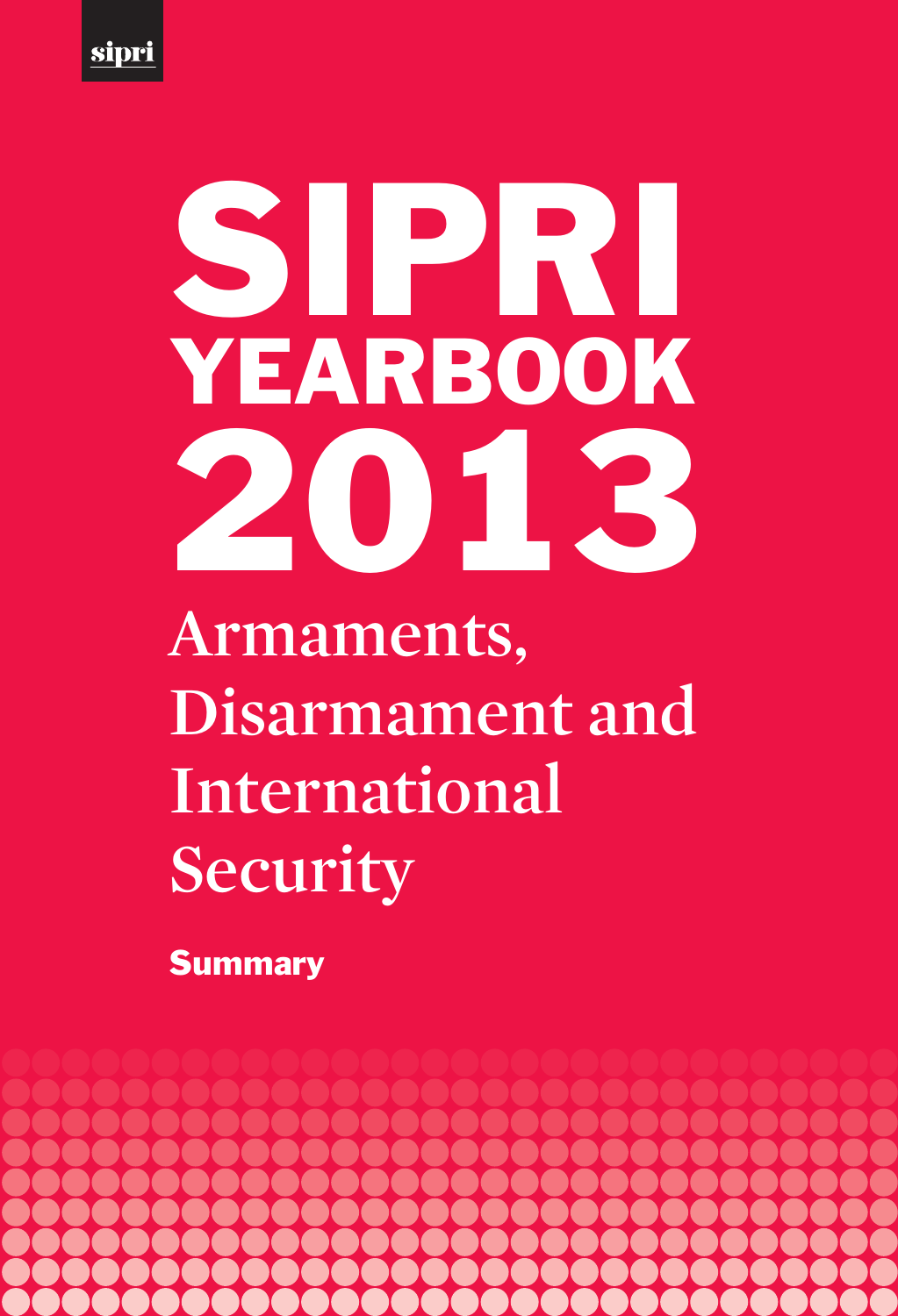

# **Armaments, Disarmament and International Security** SIPRI YEARBOOK 2013

**Summary** 

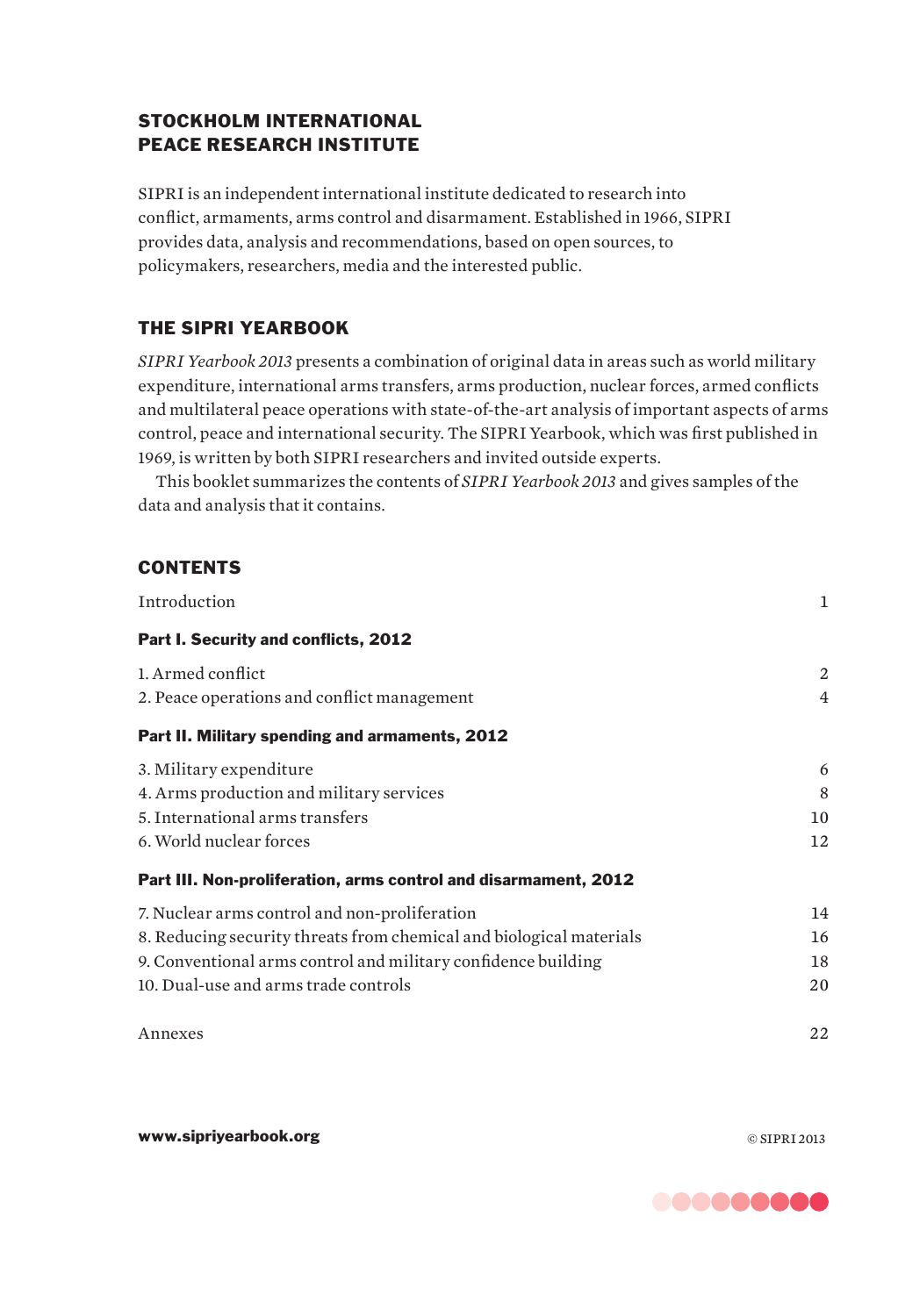# STOCKHOLM INTERNATIONAL PEACE RESEARCH INSTITUTE

SIPRI is an independent international institute dedicated to research into conflict, armaments, arms control and disarmament. Established in 1966, SIPRI provides data, analysis and recommendations, based on open sources, to policymakers, researchers, media and the interested public.

# THE SIPRI YEARBOOK

*SIPRI Yearbook 2013* presents a combination of original data in areas such as world military expenditure, international arms transfers, arms production, nuclear forces, armed conflicts and multilateral peace operations with state-of-the-art analysis of important aspects of arms control, peace and international security. The SIPRI Yearbook, which was first published in 1969, is written by both SIPRI researchers and invited outside experts.

This booklet summarizes the contents of *SIPRI Yearbook 2013* and gives samples of the data and analysis that it contains.

# **CONTENTS**

| Introduction                                                        | 1              |
|---------------------------------------------------------------------|----------------|
| Part I. Security and conflicts, 2012                                |                |
| 1. Armed conflict                                                   | 2              |
| 2. Peace operations and conflict management                         | $\overline{4}$ |
| Part II. Military spending and armaments, 2012                      |                |
| 3. Military expenditure                                             | 6              |
| 4. Arms production and military services                            | 8              |
| 5. International arms transfers                                     | 10             |
| 6. World nuclear forces                                             | 12             |
| Part III. Non-proliferation, arms control and disarmament, 2012     |                |
| 7. Nuclear arms control and non-proliferation                       | 14             |
| 8. Reducing security threats from chemical and biological materials | 16             |
| 9. Conventional arms control and military confidence building       | 18             |
| 10. Dual-use and arms trade controls                                | 20             |
| Annexes                                                             | 22             |

www.sipriyearbook.org © SIPRI 2013

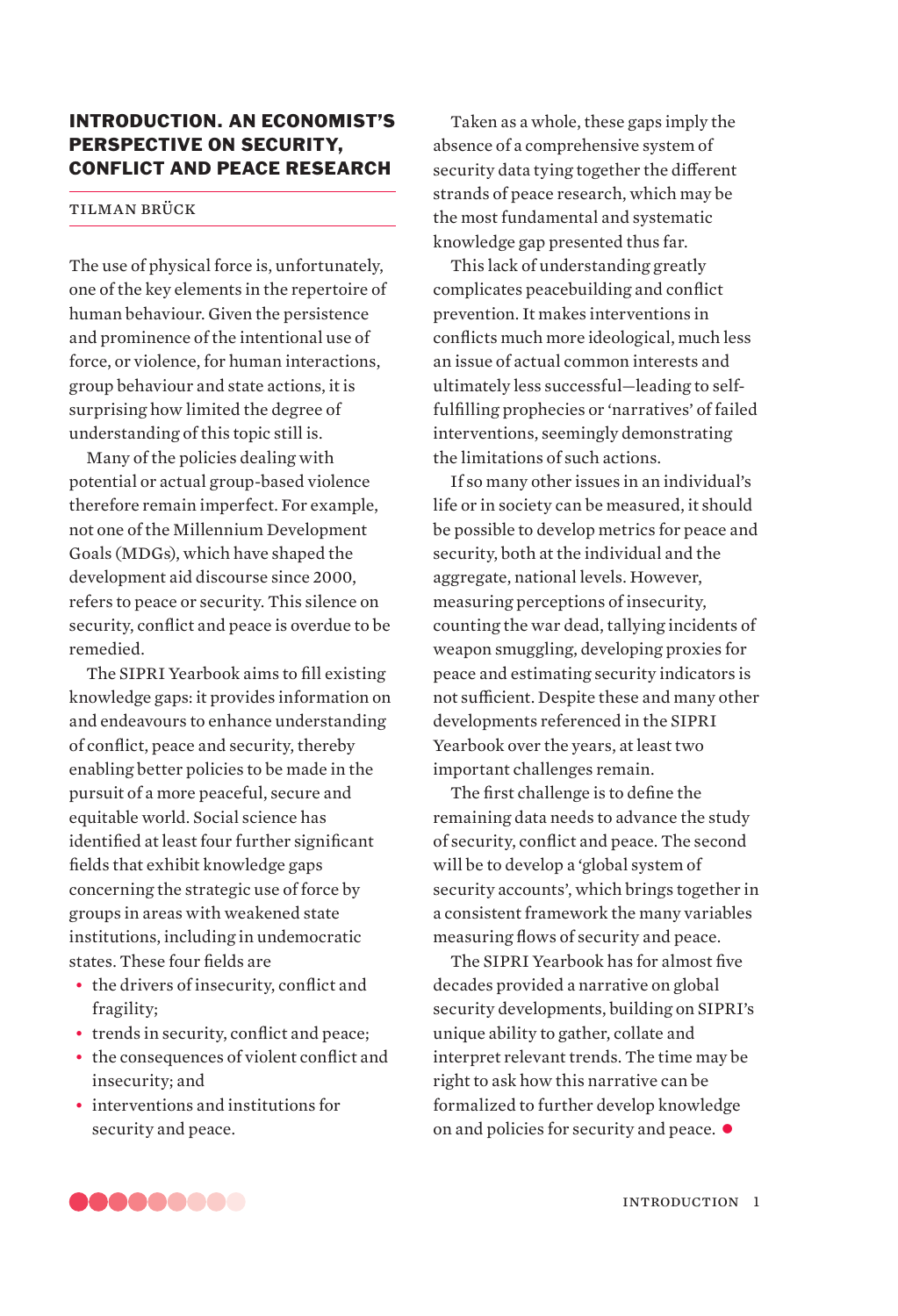# INTRODUCTION. AN ECONOMIST'S PERSPECTIVE ON SECURITY, CONFLICT AND PEACE RESEARCH

# tilman brück

The use of physical force is, unfortunately, one of the key elements in the repertoire of human behaviour. Given the persistence and prominence of the intentional use of force, or violence, for human interactions, group behaviour and state actions, it is surprising how limited the degree of understanding of this topic still is.

Many of the policies dealing with potential or actual group-based violence therefore remain imperfect. For example, not one of the Millennium Development Goals (MDGs), which have shaped the development aid discourse since 2000, refers to peace or security. This silence on security, conflict and peace is overdue to be remedied.

The SIPRI Yearbook aims to fill existing knowledge gaps: it provides information on and endeavours to enhance understanding of conflict, peace and security, thereby enabling better policies to be made in the pursuit of a more peaceful, secure and equitable world. Social science has identified at least four further significant fields that exhibit knowledge gaps concerning the strategic use of force by groups in areas with weakened state institutions, including in undemocratic states. These four fields are

- the drivers of insecurity, conflict and fragility;
- trends in security, conflict and peace:
- the consequences of violent conflict and insecurity; and
- interventions and institutions for security and peace.

Taken as a whole, these gaps imply the absence of a comprehensive system of security data tying together the different strands of peace research, which may be the most fundamental and systematic knowledge gap presented thus far.

This lack of understanding greatly complicates peacebuilding and conflict prevention. It makes interventions in conflicts much more ideological, much less an issue of actual common interests and ultimately less successful—leading to selffulfilling prophecies or 'narratives' of failed interventions, seemingly demonstrating the limitations of such actions.

If so many other issues in an individual's life or in society can be measured, it should be possible to develop metrics for peace and security, both at the individual and the aggregate, national levels. However, measuring perceptions of insecurity, counting the war dead, tallying incidents of weapon smuggling, developing proxies for peace and estimating security indicators is not sufficient. Despite these and many other developments referenced in the SIPRI Yearbook over the years, at least two important challenges remain.

The first challenge is to define the remaining data needs to advance the study of security, conflict and peace. The second will be to develop a 'global system of security accounts', which brings together in a consistent framework the many variables measuring flows of security and peace.

The SIPRI Yearbook has for almost five decades provided a narrative on global security developments, building on SIPRI's unique ability to gather, collate and interpret relevant trends. The time may be right to ask how this narrative can be formalized to further develop knowledge on and policies for security and peace.  $\bullet$ 

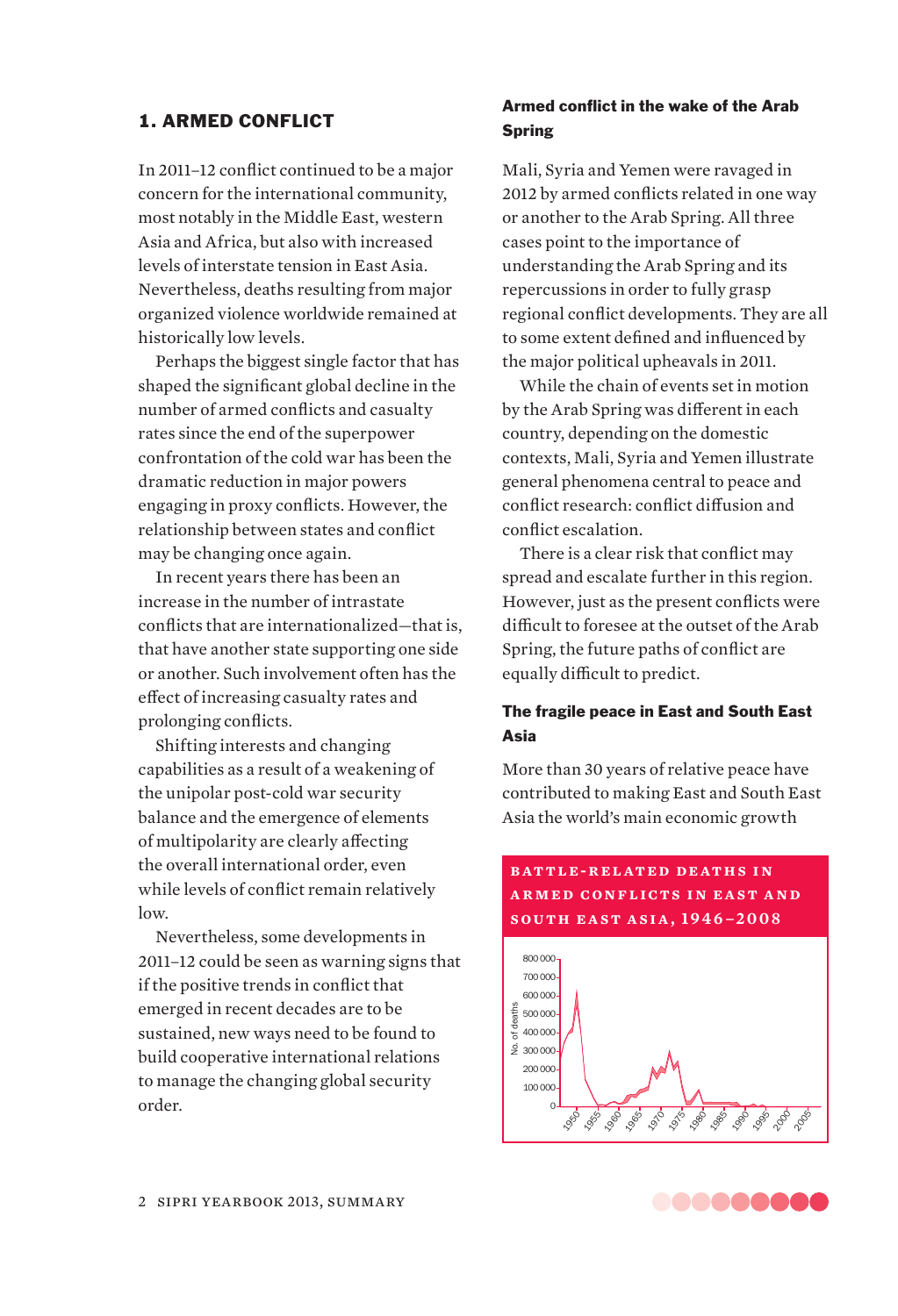# 1. ARMED CONFLICT

In 2011–12 conflict continued to be a major concern for the international community, most notably in the Middle East, western Asia and Africa, but also with increased levels of interstate tension in East Asia. Nevertheless, deaths resulting from major organized violence worldwide remained at historically low levels.

Perhaps the biggest single factor that has shaped the significant global decline in the number of armed conflicts and casualty rates since the end of the superpower confrontation of the cold war has been the dramatic reduction in major powers engaging in proxy conflicts. However, the relationship between states and conflict may be changing once again.

In recent years there has been an increase in the number of intrastate conflicts that are internationalized—that is, that have another state supporting one side or another. Such involvement often has the effect of increasing casualty rates and prolonging conflicts.

Shifting interests and changing capabilities as a result of a weakening of the unipolar post-cold war security balance and the emergence of elements of multipolarity are clearly affecting the overall international order, even while levels of conflict remain relatively low.

Nevertheless, some developments in 2011–12 could be seen as warning signs that if the positive trends in conflict that emerged in recent decades are to be sustained, new ways need to be found to build cooperative international relations to manage the changing global security order.

# Armed conflict in the wake of the Arab **Spring**

Mali, Syria and Yemen were ravaged in 2012 by armed conflicts related in one way or another to the Arab Spring. All three cases point to the importance of understanding the Arab Spring and its repercussions in order to fully grasp regional conflict developments. They are all to some extent defined and influenced by the major political upheavals in 2011.

While the chain of events set in motion by the Arab Spring was different in each country, depending on the domestic contexts, Mali, Syria and Yemen illustrate general phenomena central to peace and conflict research: conflict diffusion and conflict escalation.

There is a clear risk that conflict may spread and escalate further in this region. However, just as the present conflicts were difficult to foresee at the outset of the Arab Spring, the future paths of conflict are equally difficult to predict.

# The fragile peace in East and South East Asia

More than 30 years of relative peace have contributed to making East and South East Asia the world's main economic growth

# **BATTLE-RELATED DEATHS IN a r m e d c on f l ic t s i n e a s t a n d south east asia, 1946–2008**



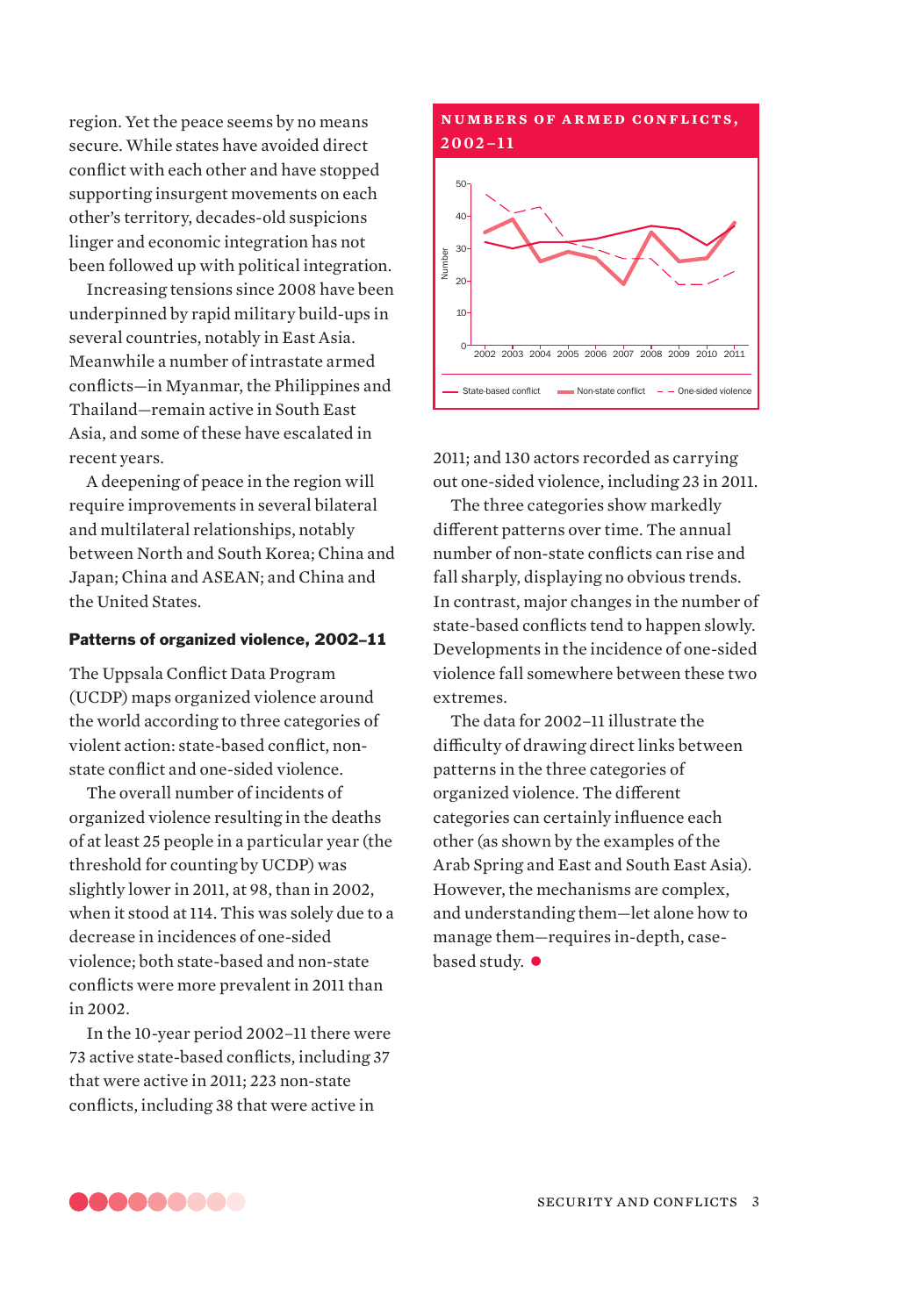region. Yet the peace seems by no means secure. While states have avoided direct conflict with each other and have stopped supporting insurgent movements on each other's territory, decades-old suspicions linger and economic integration has not been followed up with political integration.

Increasing tensions since 2008 have been underpinned by rapid military build-ups in several countries, notably in East Asia. Meanwhile a number of intrastate armed conflicts—in Myanmar, the Philippines and Thailand—remain active in South East Asia, and some of these have escalated in recent years.

A deepening of peace in the region will require improvements in several bilateral and multilateral relationships, notably between North and South Korea; China and Japan; China and ASEAN; and China and the United States.

# Patterns of organized violence, 2002–11

The Uppsala Conflict Data Program (UCDP) maps organized violence around the world according to three categories of violent action: state-based conflict, nonstate conflict and one-sided violence.

The overall number of incidents of organized violence resulting in the deaths of at least 25 people in a particular year (the threshold for counting by UCDP) was slightly lower in 2011, at 98, than in 2002, when it stood at 114. This was solely due to a decrease in incidences of one-sided violence; both state-based and non-state conflicts were more prevalent in 2011 than in 2002.

In the 10-year period 2002–11 there were 73 active state-based conflicts, including 37 that were active in 2011; 223 non-state conflicts, including 38 that were active in

## **NUMBERS OF ARMED CONFLICTS, 2002–11**



2011; and 130 actors recorded as carrying out one-sided violence, including 23 in 2011.

The three categories show markedly different patterns over time. The annual number of non-state conflicts can rise and fall sharply, displaying no obvious trends. In contrast, major changes in the number of state-based conflicts tend to happen slowly. Developments in the incidence of one-sided violence fall somewhere between these two extremes.

The data for 2002–11 illustrate the difficulty of drawing direct links between patterns in the three categories of organized violence. The different categories can certainly influence each other (as shown by the examples of the Arab Spring and East and South East Asia). However, the mechanisms are complex, and understanding them—let alone how to manage them—requires in-depth, casebased study.  $\bullet$ 

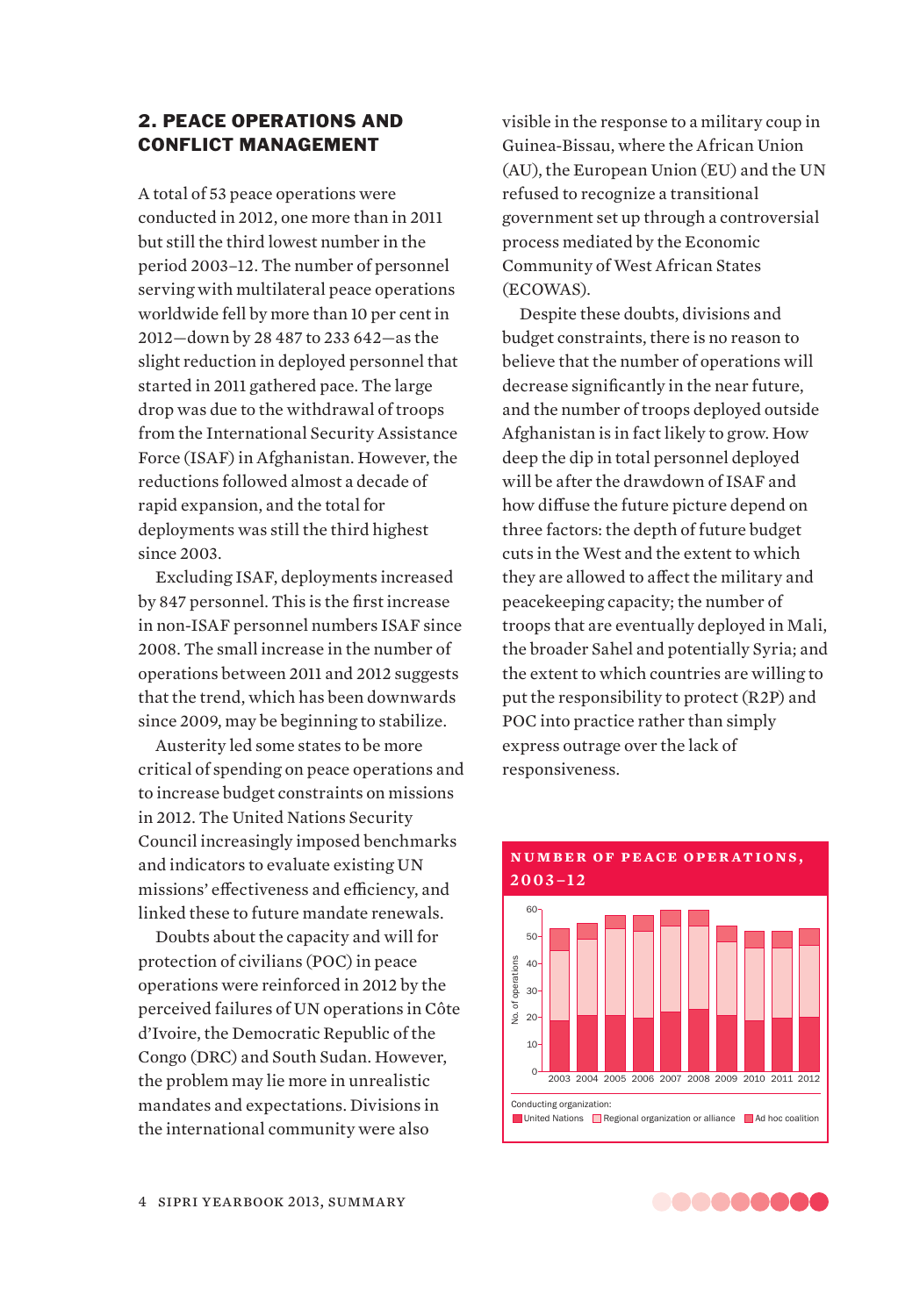# 2. PEACE OPERATIONS AND CONFLICT MANAGEMENT

A total of 53 peace operations were conducted in 2012, one more than in 2011 but still the third lowest number in the period 2003–12. The number of personnel serving with multilateral peace operations worldwide fell by more than 10 per cent in 2012—down by 28 487 to 233 642—as the slight reduction in deployed personnel that started in 2011 gathered pace. The large drop was due to the withdrawal of troops from the International Security Assistance Force (ISAF) in Afghanistan. However, the reductions followed almost a decade of rapid expansion, and the total for deployments was still the third highest since 2003.

Excluding ISAF, deployments increased by 847 personnel. This is the first increase in non-ISAF personnel numbers ISAF since 2008. The small increase in the number of operations between 2011 and 2012 suggests that the trend, which has been downwards since 2009, may be beginning to stabilize.

Austerity led some states to be more critical of spending on peace operations and to increase budget constraints on missions in 2012. The United Nations Security Council increasingly imposed benchmarks and indicators to evaluate existing UN missions' effectiveness and efficiency, and linked these to future mandate renewals.

Doubts about the capacity and will for protection of civilians (POC) in peace operations were reinforced in 2012 by the perceived failures of UN operations in Côte d'Ivoire, the Democratic Republic of the Congo (DRC) and South Sudan. However, the problem may lie more in unrealistic mandates and expectations. Divisions in the international community were also

visible in the response to a military coup in Guinea-Bissau, where the African Union (AU), the European Union (EU) and the UN refused to recognize a transitional government set up through a controversial process mediated by the Economic Community of West African States (ECOWAS).

Despite these doubts, divisions and budget constraints, there is no reason to believe that the number of operations will decrease significantly in the near future, and the number of troops deployed outside Afghanistan is in fact likely to grow. How deep the dip in total personnel deployed will be after the drawdown of ISAF and how diffuse the future picture depend on three factors: the depth of future budget cuts in the West and the extent to which they are allowed to affect the military and peacekeeping capacity; the number of troops that are eventually deployed in Mali, the broader Sahel and potentially Syria; and the extent to which countries are willing to put the responsibility to protect (R2P) and POC into practice rather than simply express outrage over the lack of responsiveness.



# **NUMBER OF PEACE OPERATIONS,**

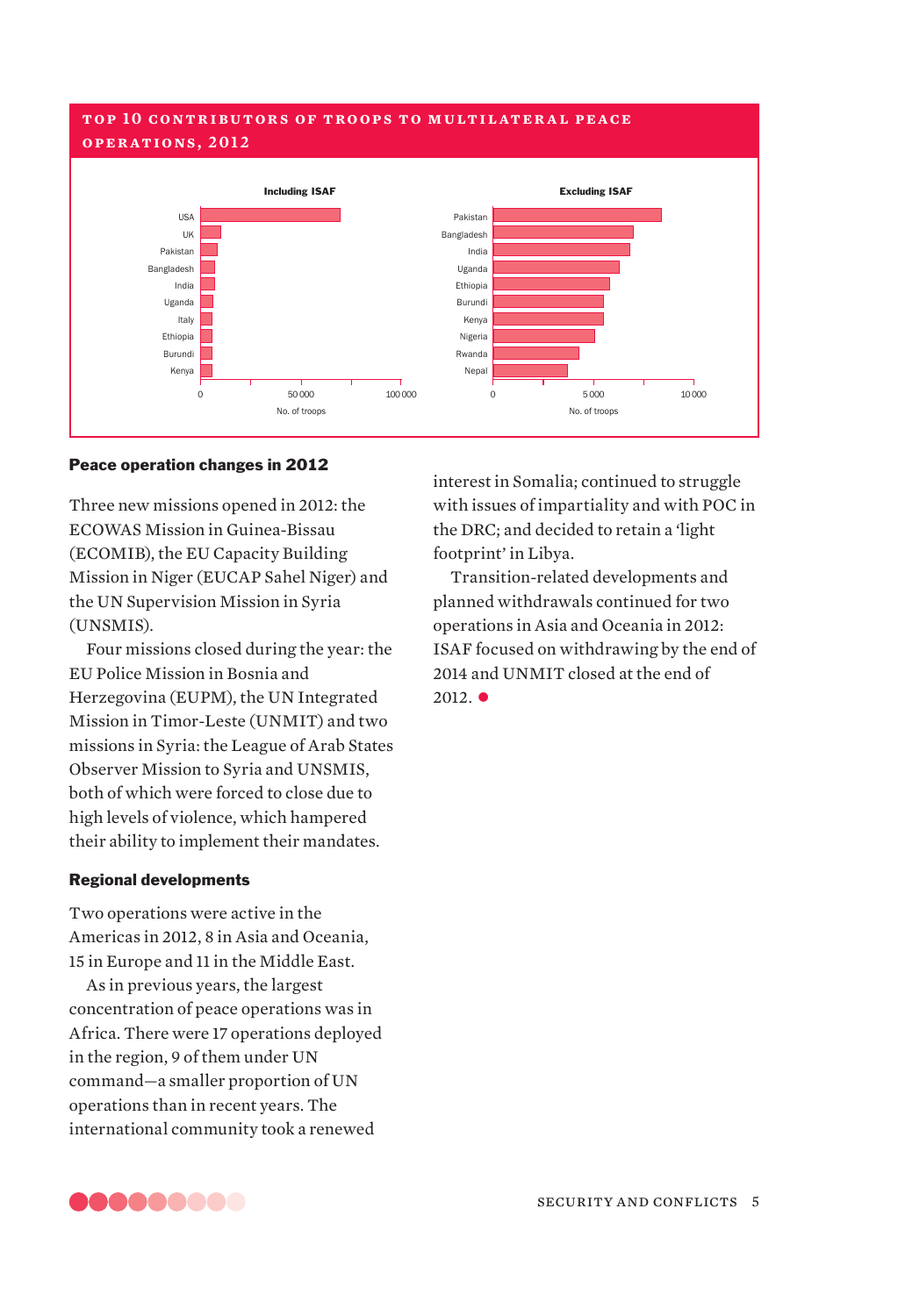# **t op 10 c on t r i bu t or s of t ro op s t o m u lt i l at e r a l pe ac e operations, 2012**



#### Peace operation changes in 2012

Three new missions opened in 2012: the ECOWAS Mission in Guinea-Bissau (ECOMIB), the EU Capacity Building Mission in Niger (EUCAP Sahel Niger) and the UN Supervision Mission in Syria (UNSMIS).

Four missions closed during the year: the EU Police Mission in Bosnia and Herzegovina (EUPM), the UN Integrated Mission in Timor-Leste (UNMIT) and two missions in Syria: the League of Arab States Observer Mission to Syria and UNSMIS, both of which were forced to close due to high levels of violence, which hampered their ability to implement their mandates.

#### Regional developments

Two operations were active in the Americas in 2012, 8 in Asia and Oceania, 15 in Europe and 11 in the Middle East.

As in previous years, the largest concentration of peace operations was in Africa. There were 17 operations deployed in the region, 9 of them under UN command—a smaller proportion of UN operations than in recent years. The international community took a renewed

interest in Somalia; continued to struggle with issues of impartiality and with POC in the DRC; and decided to retain a 'light footprint' in Libya.

Transition-related developments and planned withdrawals continued for two operations in Asia and Oceania in 2012: ISAF focused on withdrawing by the end of 2014 and UNMIT closed at the end of  $2012.$   $\bullet$ 

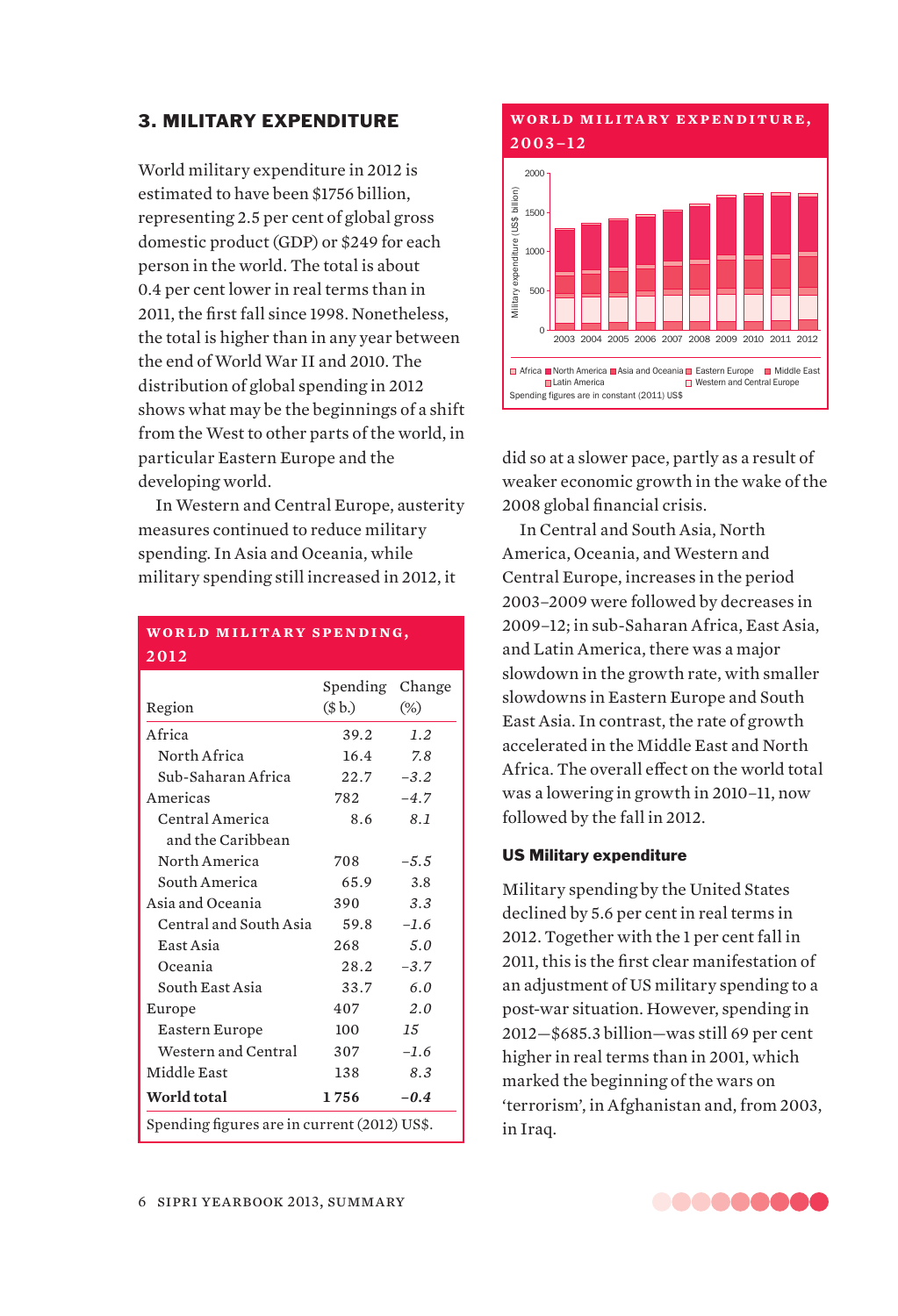# 3. MILITARY EXPENDITURE

World military expenditure in 2012 is estimated to have been \$1756 billion, representing 2.5 per cent of global gross domestic product (GDP) or \$249 for each person in the world. The total is about 0.4 per cent lower in real terms than in 2011, the first fall since 1998. Nonetheless, the total is higher than in any year between the end of World War II and 2010. The distribution of global spending in 2012 shows what may be the beginnings of a shift from the West to other parts of the world, in particular Eastern Europe and the developing world.

In Western and Central Europe, austerity measures continued to reduce military spending. In Asia and Oceania, while military spending still increased in 2012, it

# **WORLD MILITARY SPENDING. 2012**

|                        | Spending                                     | Change        |  |
|------------------------|----------------------------------------------|---------------|--|
| Region                 | (\$b.)                                       | $(\%)$        |  |
| Africa                 | 39.2                                         | 1.2           |  |
| North Africa           | 16.4                                         | 7.8           |  |
| Sub-Saharan Africa     | 22.7                                         | $-3.2$        |  |
| Americas               | 782                                          | $-4.7$        |  |
| Central America        | 8.6                                          | 8.1           |  |
| and the Caribbean      |                                              |               |  |
| North America          | 708                                          | $-5.5$        |  |
| South America          | 65.9                                         | 3.8           |  |
| Asia and Oceania       | 390                                          | 3.3           |  |
| Central and South Asia | 59.8                                         | $-1.6$        |  |
| East Asia              | 268                                          | 5.0           |  |
| Oceania                | 28.2                                         | $-3.7$        |  |
| South East Asia        | 33.7                                         | 6.0           |  |
| Europe                 | 407                                          | 2.0           |  |
| Eastern Europe         | 100                                          | $1.5^{\circ}$ |  |
| Western and Central    | 307                                          | $-1.6$        |  |
| Middle East            | 138                                          | 8.3           |  |
| World total            | 1756                                         | $-0.4$        |  |
|                        | Spending figures are in current (2012) US\$. |               |  |

# **wor l d m i l i ta ry e x pe n di t u r e ,**



did so at a slower pace, partly as a result of weaker economic growth in the wake of the 2008 global financial crisis.

In Central and South Asia, North America, Oceania, and Western and Central Europe, increases in the period 2003–2009 were followed by decreases in 2009–12; in sub-Saharan Africa, East Asia, and Latin America, there was a major slowdown in the growth rate, with smaller slowdowns in Eastern Europe and South East Asia. In contrast, the rate of growth accelerated in the Middle East and North Africa. The overall effect on the world total was a lowering in growth in 2010–11, now followed by the fall in 2012.

## US Military expenditure

Military spending by the United States declined by 5.6 per cent in real terms in 2012. Together with the 1 per cent fall in 2011, this is the first clear manifestation of an adjustment of US military spending to a post-war situation. However, spending in 2012—\$685.3 billion—was still 69 per cent higher in real terms than in 2001, which marked the beginning of the wars on 'terrorism', in Afghanistan and, from 2003, in Iraq.

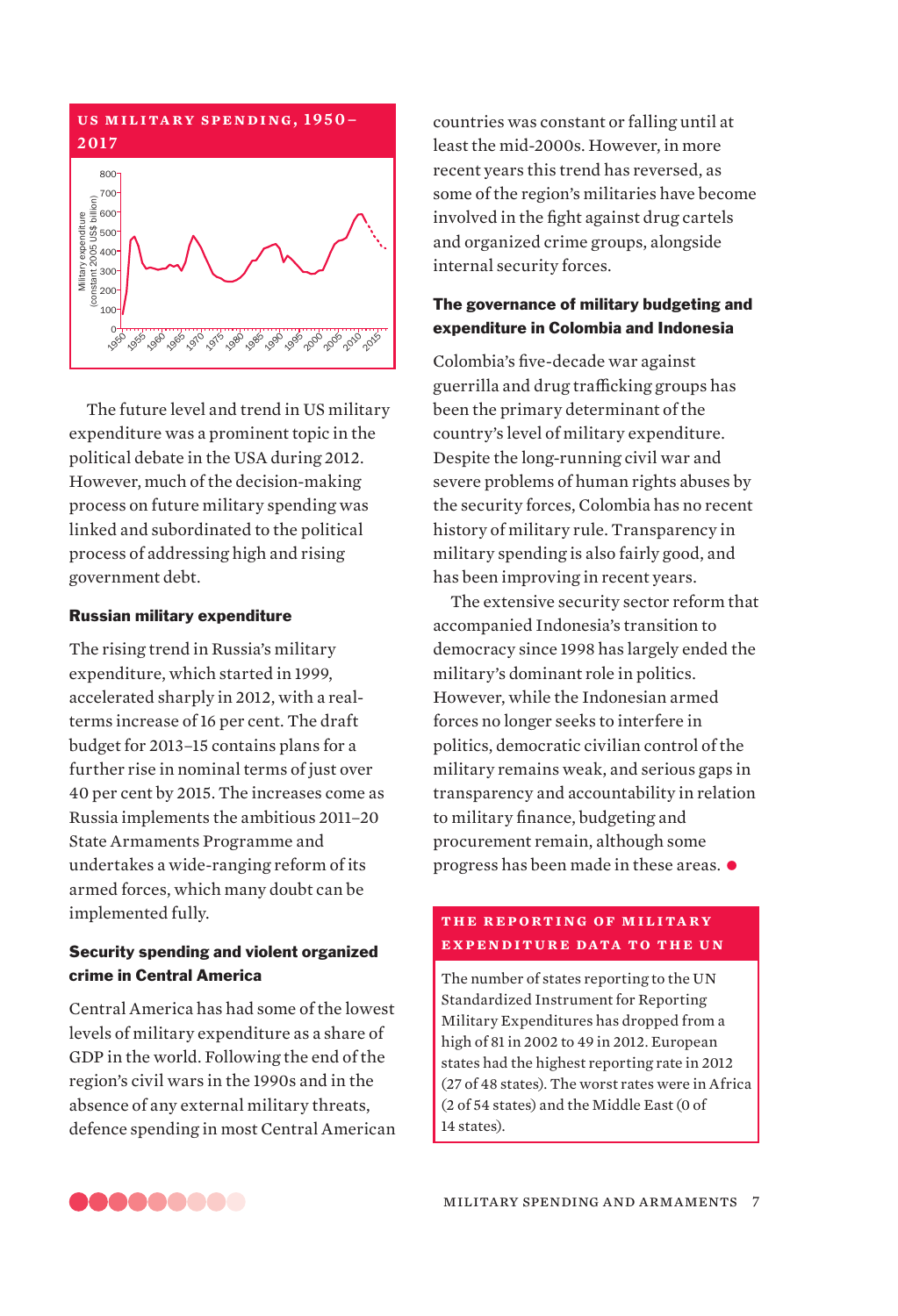

The future level and trend in US military expenditure was a prominent topic in the political debate in the USA during 2012. However, much of the decision-making process on future military spending was linked and subordinated to the political process of addressing high and rising government debt.

# Russian military expenditure

The rising trend in Russia's military expenditure, which started in 1999, accelerated sharply in 2012, with a realterms increase of 16 per cent. The draft budget for 2013–15 contains plans for a further rise in nominal terms of just over 40 per cent by 2015. The increases come as Russia implements the ambitious 2011–20 State Armaments Programme and undertakes a wide-ranging reform of its armed forces, which many doubt can be implemented fully.

# Security spending and violent organized crime in Central America

Central America has had some of the lowest levels of military expenditure as a share of GDP in the world. Following the end of the region's civil wars in the 1990s and in the absence of any external military threats, defence spending in most Central American countries was constant or falling until at least the mid-2000s. However, in more recent years this trend has reversed, as some of the region's militaries have become involved in the fight against drug cartels and organized crime groups, alongside internal security forces.

# The governance of military budgeting and expenditure in Colombia and Indonesia

Colombia's five-decade war against guerrilla and drug trafficking groups has been the primary determinant of the country's level of military expenditure. Despite the long-running civil war and severe problems of human rights abuses by the security forces, Colombia has no recent history of military rule. Transparency in military spending is also fairly good, and has been improving in recent years.

The extensive security sector reform that accompanied Indonesia's transition to democracy since 1998 has largely ended the military's dominant role in politics. However, while the Indonesian armed forces no longer seeks to interfere in politics, democratic civilian control of the military remains weak, and serious gaps in transparency and accountability in relation to military finance, budgeting and procurement remain, although some progress has been made in these areas.  $\bullet$ 

# **t h e r e p or t i ng of m i l i ta ry expenditure data to the un**

The number of states reporting to the UN Standardized Instrument for Reporting Military Expenditures has dropped from a high of 81 in 2002 to 49 in 2012. European states had the highest reporting rate in 2012 (27 of 48 states). The worst rates were in Africa (2 of 54 states) and the Middle East (0 of 14 states).

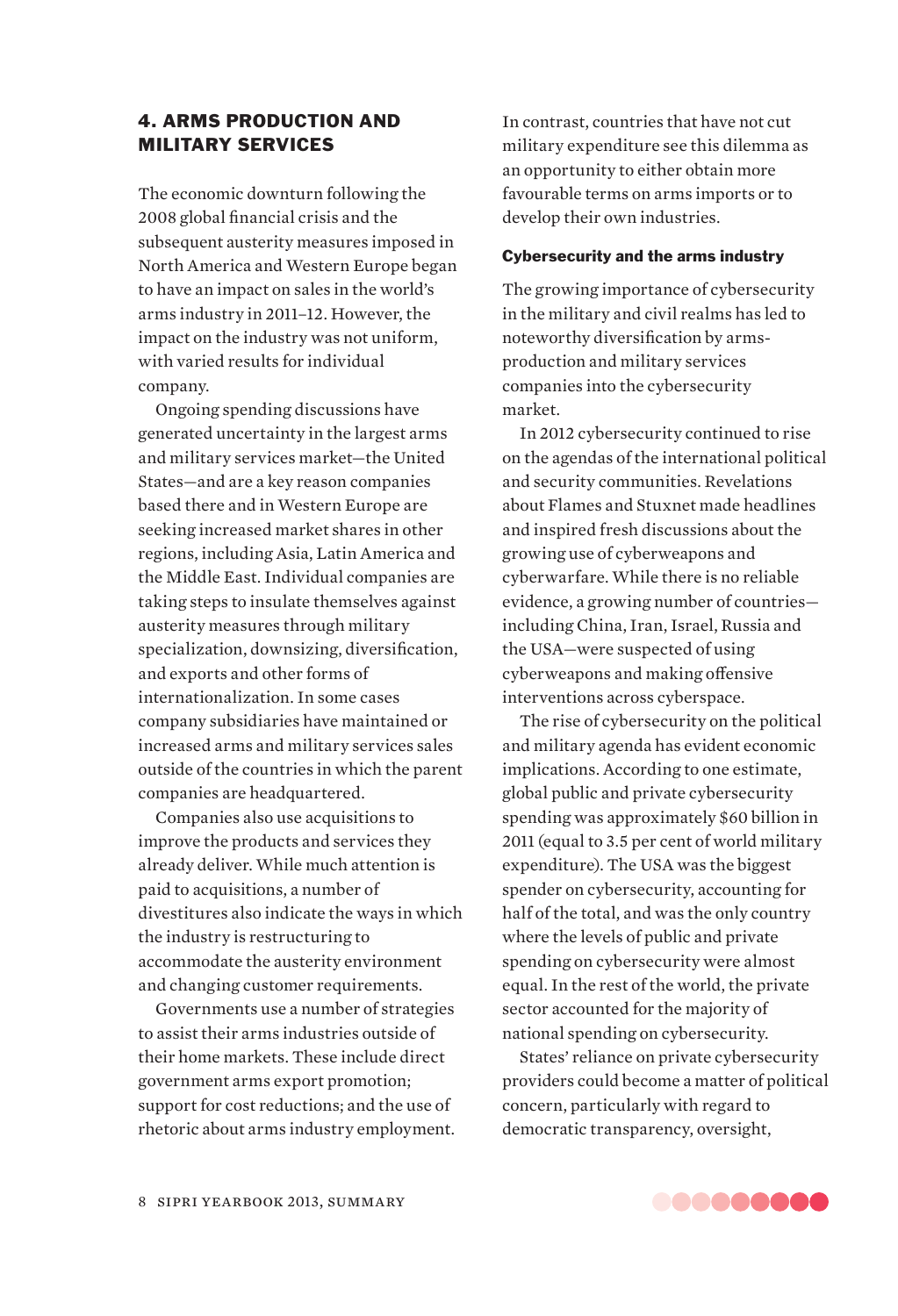# 4. ARMS PRODUCTION AND MILITARY SERVICES

The economic downturn following the 2008 global financial crisis and the subsequent austerity measures imposed in North America and Western Europe began to have an impact on sales in the world's arms industry in 2011–12. However, the impact on the industry was not uniform, with varied results for individual company.

Ongoing spending discussions have generated uncertainty in the largest arms and military services market—the United States—and are a key reason companies based there and in Western Europe are seeking increased market shares in other regions, including Asia, Latin America and the Middle East. Individual companies are taking steps to insulate themselves against austerity measures through military specialization, downsizing, diversification, and exports and other forms of internationalization. In some cases company subsidiaries have maintained or increased arms and military services sales outside of the countries in which the parent companies are headquartered.

Companies also use acquisitions to improve the products and services they already deliver. While much attention is paid to acquisitions, a number of divestitures also indicate the ways in which the industry is restructuring to accommodate the austerity environment and changing customer requirements.

Governments use a number of strategies to assist their arms industries outside of their home markets. These include direct government arms export promotion; support for cost reductions; and the use of rhetoric about arms industry employment. In contrast, countries that have not cut military expenditure see this dilemma as an opportunity to either obtain more favourable terms on arms imports or to develop their own industries.

# Cybersecurity and the arms industry

The growing importance of cybersecurity in the military and civil realms has led to noteworthy diversification by armsproduction and military services companies into the cybersecurity market.

In 2012 cybersecurity continued to rise on the agendas of the international political and security communities. Revelations about Flames and Stuxnet made headlines and inspired fresh discussions about the growing use of cyberweapons and cyberwarfare. While there is no reliable evidence, a growing number of countries including China, Iran, Israel, Russia and the USA—were suspected of using cyberweapons and making offensive interventions across cyberspace.

The rise of cybersecurity on the political and military agenda has evident economic implications. According to one estimate, global public and private cybersecurity spending was approximately \$60 billion in 2011 (equal to 3.5 per cent of world military expenditure). The USA was the biggest spender on cybersecurity, accounting for half of the total, and was the only country where the levels of public and private spending on cybersecurity were almost equal. In the rest of the world, the private sector accounted for the majority of national spending on cybersecurity.

States' reliance on private cybersecurity providers could become a matter of political concern, particularly with regard to democratic transparency, oversight,

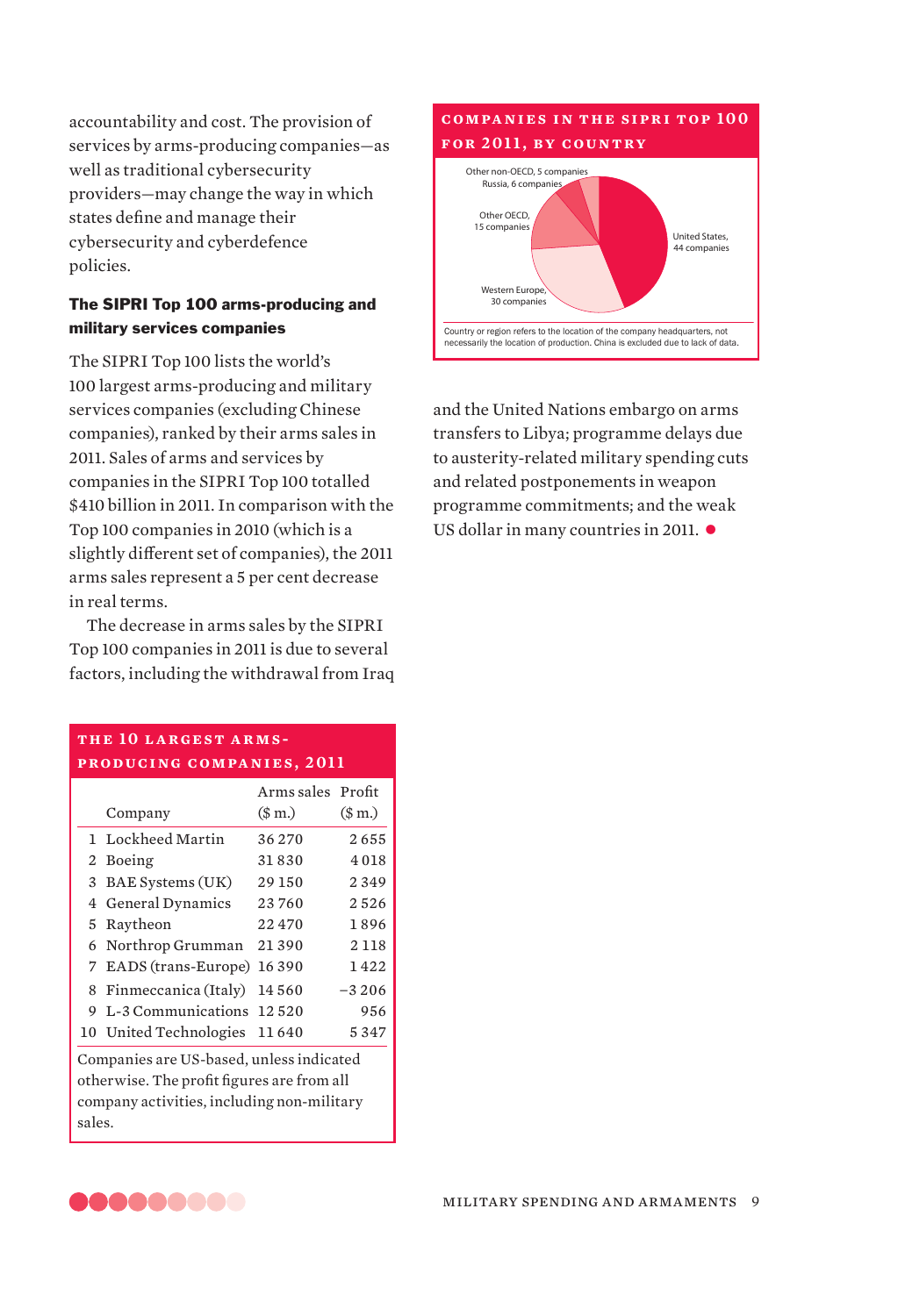accountability and cost. The provision of services by arms-producing companies—as well as traditional cybersecurity providers—may change the way in which states define and manage their cybersecurity and cyberdefence policies.

# The SIPRI Top 100 arms-producing and military services companies

The SIPRI Top 100 lists the world's 100 largest arms-producing and military services companies (excluding Chinese companies), ranked by their arms sales in 2011. Sales of arms and services by companies in the SIPRI Top 100 totalled \$410 billion in 2011. In comparison with the Top 100 companies in 2010 (which is a slightly different set of companies), the 2011 arms sales represent a 5 per cent decrease in real terms.

The decrease in arms sales by the SIPRI Top 100 companies in 2011 is due to several factors, including the withdrawal from Iraq

# **COMPANIES IN THE SIPRI TOP 100 for 2011, by country** Other non-OECD, 5 companies Russia, 6 compani Other OECD, 15 companies Western Europe 30 companies United States, 44 companies Country or region refers to the location of the company headquarters, not necessarily the location of production. China is excluded due to lack of data.

and the United Nations embargo on arms transfers to Libya; programme delays due to austerity-related military spending cuts and related postponements in weapon programme commitments; and the weak US dollar in many countries in 2011.  $\bullet$ 

# **the 10 largest armsproducing companies, 2011**

|   | Company                       | Arms sales Profit<br>(\$m.) | \$m.)   |
|---|-------------------------------|-----------------------------|---------|
|   | 1 Lockheed Martin             | 36270                       | 2655    |
|   | 2 Boeing                      | 31830                       | 4018    |
|   | 3 BAE Systems (UK)            | 29 150                      | 2349    |
|   | 4 General Dynamics            | 23760                       | 2526    |
|   | 5 Raytheon                    | 22470                       | 1896    |
|   | 6 Northrop Grumman            | 21390                       | 2 1 1 8 |
|   | 7 EADS (trans-Europe) 16 390  |                             | 1422    |
|   | 8 Finmeccanica (Italy) 14 560 |                             | $-3206$ |
| 9 | L-3 Communications 12 520     |                             | 956     |
|   | 10 United Technologies 11640  |                             | 5347    |
|   | $-200$ $1$ $1$ $1$            |                             |         |

Companies are US-based, unless indicated otherwise. The profit figures are from all company activities, including non-military sales.

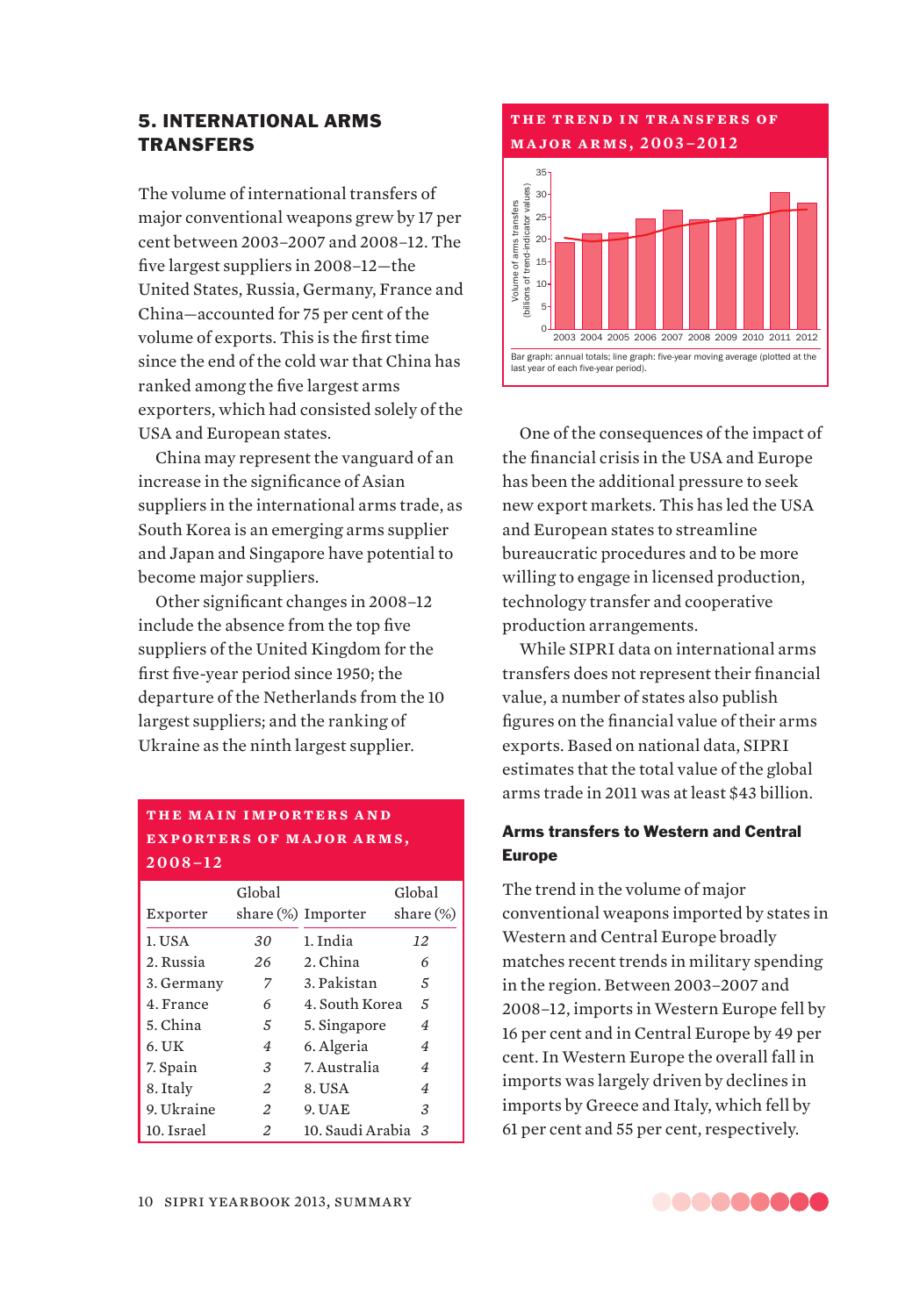# 5. INTERNATIONAL ARMS **TRANSFFRS**

The volume of international transfers of major conventional weapons grew by 17 per cent between 2003–2007 and 2008–12. The five largest suppliers in 2008–12—the United States, Russia, Germany, France and China—accounted for 75 per cent of the volume of exports. This is the first time since the end of the cold war that China has ranked among the five largest arms exporters, which had consisted solely of the USA and European states.

China may represent the vanguard of an increase in the significance of Asian suppliers in the international arms trade, as South Korea is an emerging arms supplier and Japan and Singapore have potential to become major suppliers.

Other significant changes in 2008–12 include the absence from the top five suppliers of the United Kingdom for the first five-year period since 1950; the departure of the Netherlands from the 10 largest suppliers; and the ranking of Ukraine as the ninth largest supplier.

# **THE MAIN IMPORTERS AND EXPORTERS OF MAJOR ARMS, 2008–12**

| Exporter   | Global                                                                                                                                | share $(\%)$ Importer | Global<br>share $(\%)$ |
|------------|---------------------------------------------------------------------------------------------------------------------------------------|-----------------------|------------------------|
| 1. USA     | 30                                                                                                                                    | 1. India              | 12                     |
| 2. Russia  | 26                                                                                                                                    | 2. China              | 6                      |
| 3. Germany | 7                                                                                                                                     | 3. Pakistan           | 5                      |
| 4. France  | 6                                                                                                                                     | 4. South Korea        | 5                      |
| 5. China   | 5                                                                                                                                     | 5. Singapore          | 4                      |
| $6.$ UK    | 4                                                                                                                                     | 6. Algeria            | 4                      |
| 7. Spain   | 3                                                                                                                                     | 7. Australia          | 4                      |
| 8. Italy   | 2                                                                                                                                     | 8. USA                | 4                      |
| 9. Ukraine | $\mathfrak{D}_{1}^{\prime}(\mathfrak{D}_{1})=\mathfrak{D}_{2}^{\prime}(\mathfrak{D}_{2})=\mathfrak{D}_{2}^{\prime}(\mathfrak{D}_{2})$ | 9. UAE                | 3                      |
| 10. Israel | 2                                                                                                                                     | 10. Saudi Arabia      | 3                      |



One of the consequences of the impact of the financial crisis in the USA and Europe has been the additional pressure to seek new export markets. This has led the USA and European states to streamline bureaucratic procedures and to be more willing to engage in licensed production, technology transfer and cooperative production arrangements.

While SIPRI data on international arms transfers does not represent their financial value, a number of states also publish figures on the financial value of their arms exports. Based on national data, SIPRI estimates that the total value of the global arms trade in 2011 was at least \$43 billion.

# Arms transfers to Western and Central Europe

The trend in the volume of major conventional weapons imported by states in Western and Central Europe broadly matches recent trends in military spending in the region. Between 2003–2007 and 2008–12, imports in Western Europe fell by 16 per cent and in Central Europe by 49 per cent. In Western Europe the overall fall in imports was largely driven by declines in imports by Greece and Italy, which fell by From the maniform of and the proper states in a game of arms and the proper cannot and  $\frac{1}{2}$  are and  $\frac{1}{2}$  are and  $\frac{1}{2}$  are and  $\frac{1}{2}$  are and  $\frac{1}{2}$  are and  $\frac{1}{2}$  are and  $\frac{1}{2}$  are and  $\frac{1}{2}$ 

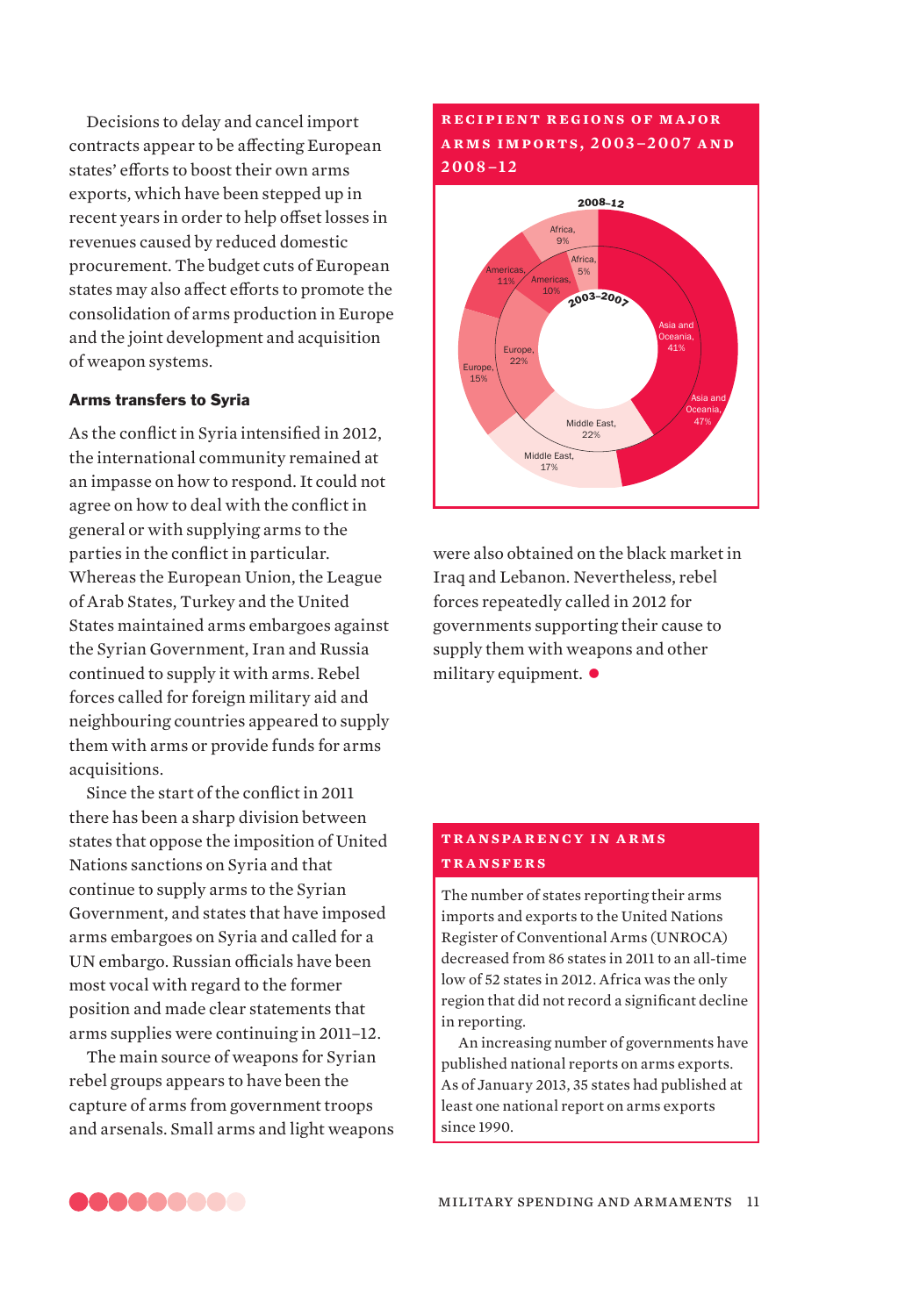Decisions to delay and cancel import contracts appear to be affecting European states' efforts to boost their own arms exports, which have been stepped up in recent years in order to help offset losses in revenues caused by reduced domestic procurement. The budget cuts of European states may also affect efforts to promote the consolidation of arms production in Europe and the joint development and acquisition of weapon systems.

# Arms transfers to Syria

As the conflict in Syria intensified in 2012, the international community remained at an impasse on how to respond. It could not agree on how to deal with the conflict in general or with supplying arms to the parties in the conflict in particular. Whereas the European Union, the League of Arab States, Turkey and the United States maintained arms embargoes against the Syrian Government, Iran and Russia continued to supply it with arms. Rebel forces called for foreign military aid and neighbouring countries appeared to supply them with arms or provide funds for arms acquisitions.

Since the start of the conflict in 2011 there has been a sharp division between states that oppose the imposition of United Nations sanctions on Syria and that continue to supply arms to the Syrian Government, and states that have imposed arms embargoes on Syria and called for a UN embargo. Russian officials have been most vocal with regard to the former position and made clear statements that arms supplies were continuing in 2011–12.

The main source of weapons for Syrian rebel groups appears to have been the capture of arms from government troops and arsenals. Small arms and light weapons

# **r e ci pi e n t r e gions of m a jor a r m s i m p or t s , 2 0 0 3 –2 0 0 7 a n d 2008–12**



were also obtained on the black market in Iraq and Lebanon. Nevertheless, rebel forces repeatedly called in 2012 for governments supporting their cause to supply them with weapons and other military equipment.  $\bullet$ 

# **t r a nspa r e nc y i n a r m s transfers**

The number of states reporting their arms imports and exports to the United Nations Register of Conventional Arms (UNROCA) decreased from 86 states in 2011 to an all-time low of 52 states in 2012. Africa was the only region that did not record a significant decline in reporting.

An increasing number of governments have published national reports on arms exports. As of January 2013, 35 states had published at least one national report on arms exports since 1990.

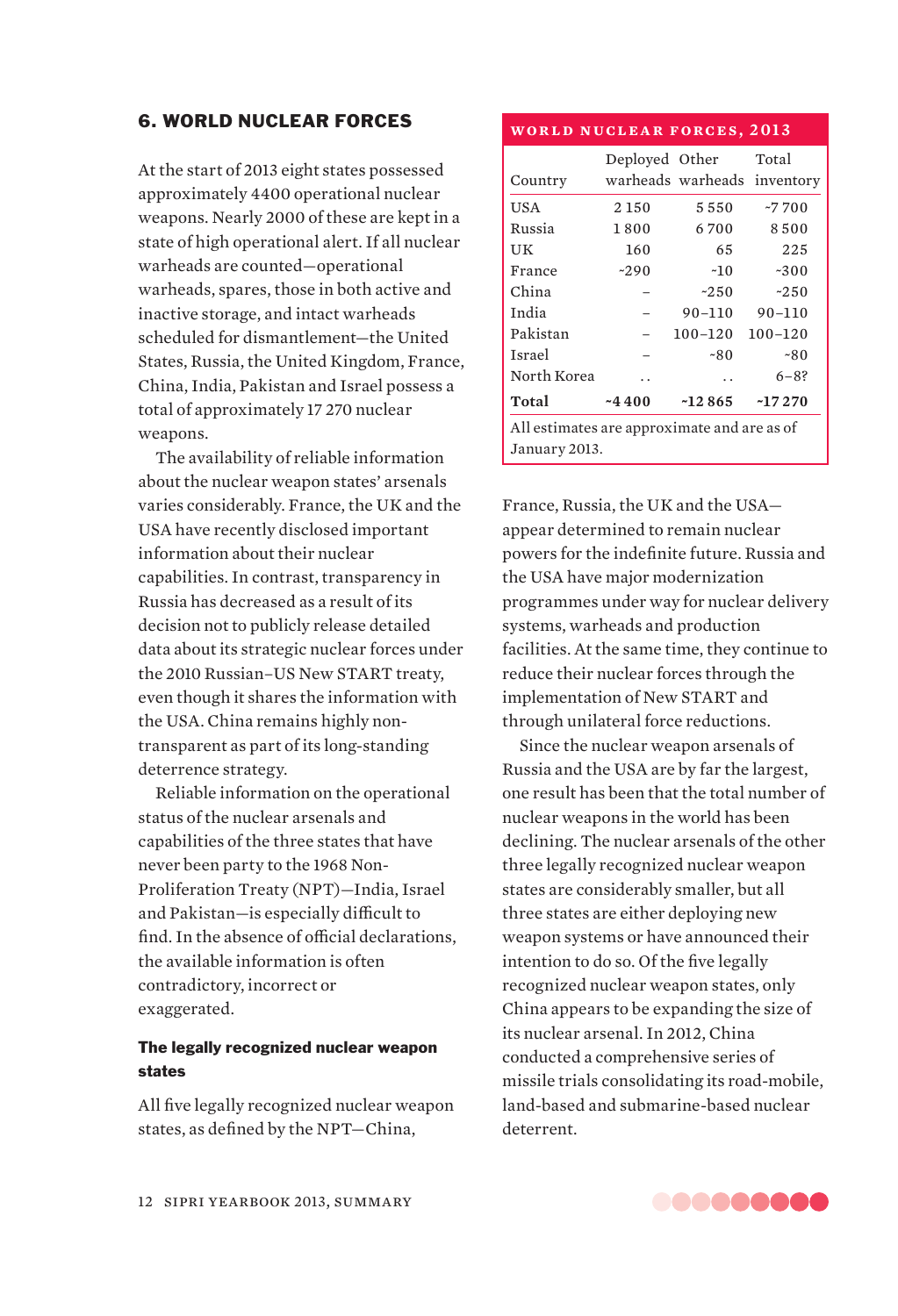# 6. WORLD NUCLEAR FORCES

At the start of 2013 eight states possessed approximately 4400 operational nuclear weapons. Nearly 2000 of these are kept in a state of high operational alert. If all nuclear warheads are counted—operational warheads, spares, those in both active and inactive storage, and intact warheads scheduled for dismantlement—the United States, Russia, the United Kingdom, France, China, India, Pakistan and Israel possess a total of approximately 17 270 nuclear weapons.

The availability of reliable information about the nuclear weapon states' arsenals varies considerably. France, the UK and the USA have recently disclosed important information about their nuclear capabilities. In contrast, transparency in Russia has decreased as a result of its decision not to publicly release detailed data about its strategic nuclear forces under the 2010 Russian–US New START treaty, even though it shares the information with the USA. China remains highly nontransparent as part of its long-standing deterrence strategy.

Reliable information on the operational status of the nuclear arsenals and capabilities of the three states that have never been party to the 1968 Non-Proliferation Treaty (NPT)—India, Israel and Pakistan—is especially difficult to find. In the absence of official declarations, the available information is often contradictory, incorrect or exaggerated.

# The legally recognized nuclear weapon states

All five legally recognized nuclear weapon states, as defined by the NPT—China,

# **world nuclear forces, 2013**

|                                             | Deployed Other |                      | Total                       |
|---------------------------------------------|----------------|----------------------|-----------------------------|
| Country                                     |                |                      | warheads warheads inventory |
| USA                                         | 2 1 5 0        | 5550                 | $-7700$                     |
| Russia                                      | 1800           | 6700                 | 8500                        |
| UК                                          | 160            | 65                   | 225                         |
| France                                      | $-290$         | $-10$                | $-300$                      |
| China                                       |                | $-250$               | $-250$                      |
| India                                       |                | $90 - 110$           | $90 - 110$                  |
| Pakistan                                    |                | $100 - 120$          | $100 - 120$                 |
| <b>Israel</b>                               |                | ~80                  | ~80                         |
| North Korea                                 |                | $\ddot{\phantom{0}}$ | $6 - 8?$                    |
| Total                                       | $-4400$        | $-12865$             | $-17270$                    |
| All estimates are approximate and are as of |                |                      |                             |
| January 2013.                               |                |                      |                             |

France, Russia, the UK and the USA appear determined to remain nuclear powers for the indefinite future. Russia and the USA have major modernization programmes under way for nuclear delivery systems, warheads and production facilities. At the same time, they continue to reduce their nuclear forces through the implementation of New START and through unilateral force reductions.

Since the nuclear weapon arsenals of Russia and the USA are by far the largest, one result has been that the total number of nuclear weapons in the world has been declining. The nuclear arsenals of the other three legally recognized nuclear weapon states are considerably smaller, but all three states are either deploying new weapon systems or have announced their intention to do so. Of the five legally recognized nuclear weapon states, only China appears to be expanding the size of its nuclear arsenal. In 2012, China conducted a comprehensive series of missile trials consolidating its road-mobile, land-based and submarine-based nuclear deterrent.

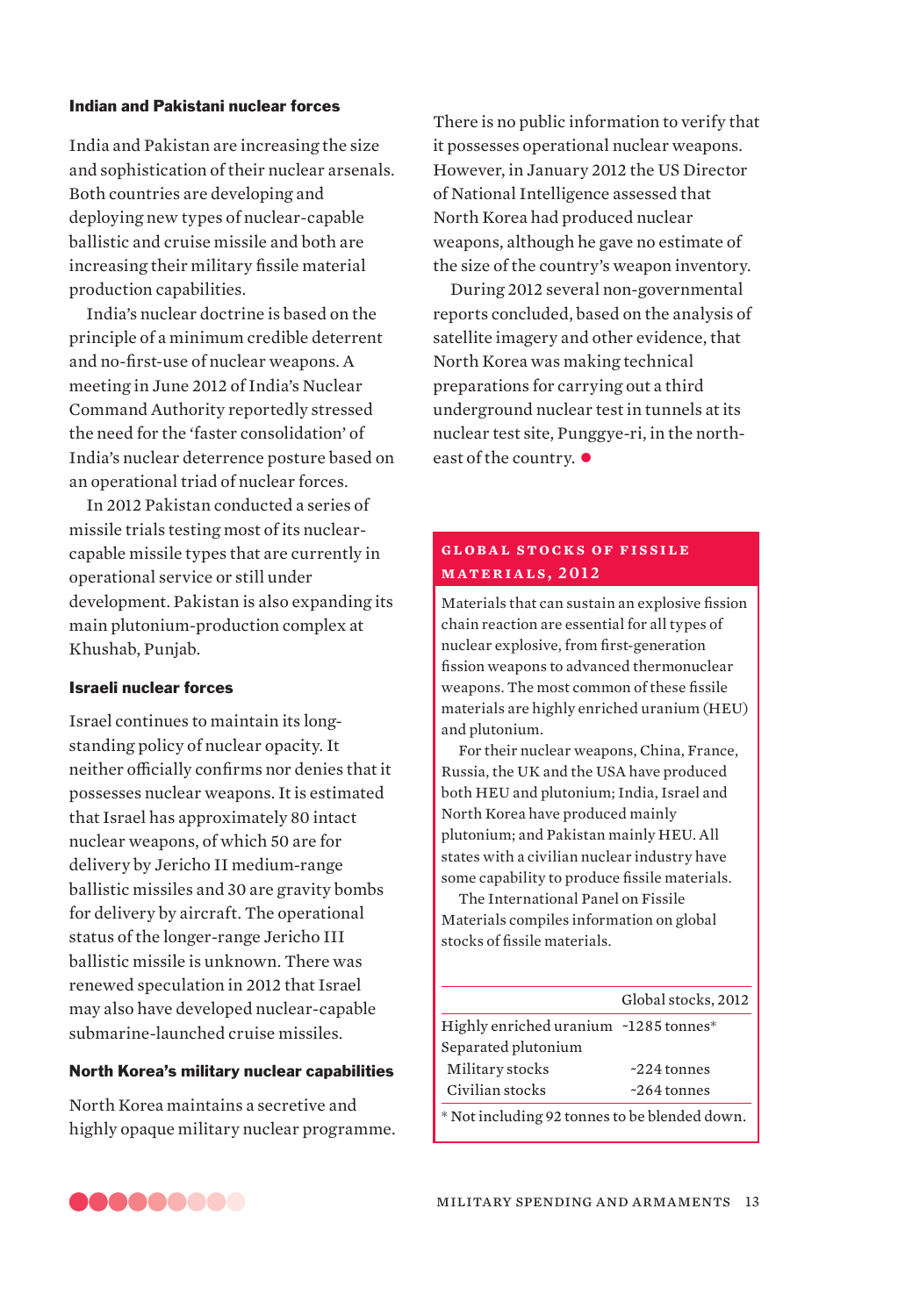# Indian and Pakistani nuclear forces

India and Pakistan are increasing the size and sophistication of their nuclear arsenals. Both countries are developing and deploying new types of nuclear-capable ballistic and cruise missile and both are increasing their military fissile material production capabilities.

India's nuclear doctrine is based on the principle of a minimum credible deterrent and no-first-use of nuclear weapons. A meeting in June 2012 of India's Nuclear Command Authority reportedly stressed the need for the 'faster consolidation' of India's nuclear deterrence posture based on an operational triad of nuclear forces.

In 2012 Pakistan conducted a series of missile trials testing most of its nuclearcapable missile types that are currently in operational service or still under development. Pakistan is also expanding its main plutonium-production complex at Khushab, Punjab.

# Israeli nuclear forces

Israel continues to maintain its longstanding policy of nuclear opacity. It neither officially confirms nor denies that it possesses nuclear weapons. It is estimated that Israel has approximately 80 intact nuclear weapons, of which 50 are for delivery by Jericho II medium-range ballistic missiles and 30 are gravity bombs for delivery by aircraft. The operational status of the longer-range Jericho III ballistic missile is unknown. There was renewed speculation in 2012 that Israel may also have developed nuclear-capable submarine-launched cruise missiles.

# North Korea's military nuclear capabilities

North Korea maintains a secretive and highly opaque military nuclear programme. There is no public information to verify that it possesses operational nuclear weapons. However, in January 2012 the US Director of National Intelligence assessed that North Korea had produced nuclear weapons, although he gave no estimate of the size of the country's weapon inventory.

During 2012 several non-governmental reports concluded, based on the analysis of satellite imagery and other evidence, that North Korea was making technical preparations for carrying out a third underground nuclear test in tunnels at its nuclear test site, Punggye-ri, in the northeast of the country.  $\bullet$ 

# **GLOBAL STOCKS OF FISSILE materials, 2012**

Materials that can sustain an explosive fission chain reaction are essential for all types of nuclear explosive, from first-generation fission weapons to advanced thermonuclear weapons. The most common of these fissile materials are highly enriched uranium (HEU) and plutonium.

For their nuclear weapons, China, France, Russia, the UK and the USA have produced both HEU and plutonium; India, Israel and North Korea have produced mainly plutonium; and Pakistan mainly HEU. All states with a civilian nuclear industry have some capability to produce fissile materials.

The International Panel on Fissile Materials compiles information on global stocks of fissile materials.

|                                       | Global stocks, 2012 |
|---------------------------------------|---------------------|
| Highly enriched uranium ~1285 tonnes* |                     |
| Separated plutonium                   |                     |
| Military stocks                       | $~224$ tonnes       |
| Civilian stocks                       | $~264$ tonnes       |
|                                       |                     |

\* Not including 92 tonnes to be blended down.

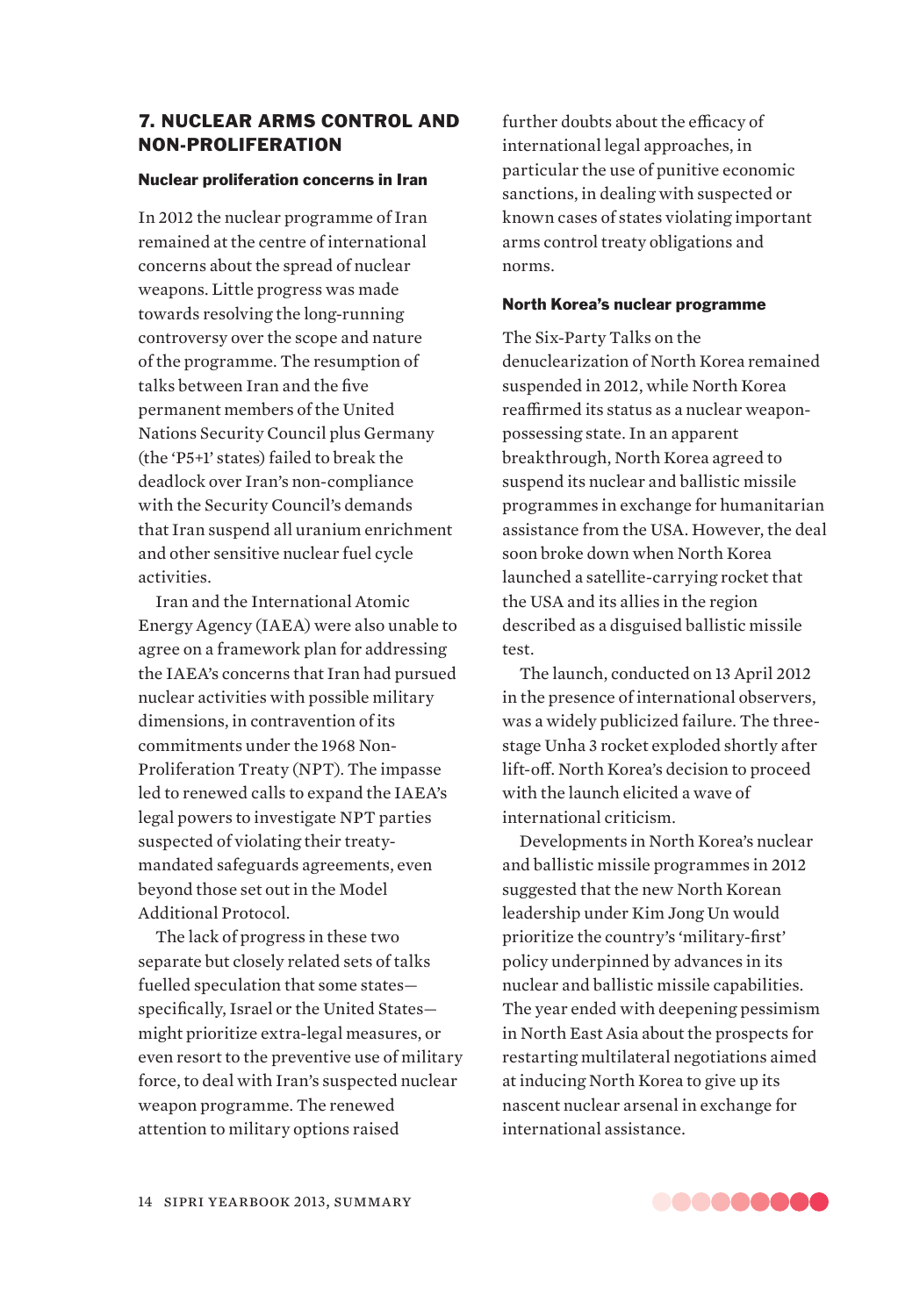# 7. NUCLEAR ARMS CONTROL AND NON-PROLIFERATION

#### Nuclear proliferation concerns in Iran

In 2012 the nuclear programme of Iran remained at the centre of international concerns about the spread of nuclear weapons. Little progress was made towards resolving the long-running controversy over the scope and nature of the programme. The resumption of talks between Iran and the five permanent members of the United Nations Security Council plus Germany (the 'P5+1' states) failed to break the deadlock over Iran's non-compliance with the Security Council's demands that Iran suspend all uranium enrichment and other sensitive nuclear fuel cycle activities.

Iran and the International Atomic Energy Agency (IAEA) were also unable to agree on a framework plan for addressing the IAEA's concerns that Iran had pursued nuclear activities with possible military dimensions, in contravention of its commitments under the 1968 Non-Proliferation Treaty (NPT). The impasse led to renewed calls to expand the IAEA's legal powers to investigate NPT parties suspected of violating their treatymandated safeguards agreements, even beyond those set out in the Model Additional Protocol.

The lack of progress in these two separate but closely related sets of talks fuelled speculation that some states specifically, Israel or the United States might prioritize extra-legal measures, or even resort to the preventive use of military force, to deal with Iran's suspected nuclear weapon programme. The renewed attention to military options raised

further doubts about the efficacy of international legal approaches, in particular the use of punitive economic sanctions, in dealing with suspected or known cases of states violating important arms control treaty obligations and norms.

#### North Korea's nuclear programme

The Six-Party Talks on the denuclearization of North Korea remained suspended in 2012, while North Korea reaffirmed its status as a nuclear weaponpossessing state. In an apparent breakthrough, North Korea agreed to suspend its nuclear and ballistic missile programmes in exchange for humanitarian assistance from the USA. However, the deal soon broke down when North Korea launched a satellite-carrying rocket that the USA and its allies in the region described as a disguised ballistic missile test.

The launch, conducted on 13 April 2012 in the presence of international observers, was a widely publicized failure. The threestage Unha 3 rocket exploded shortly after lift-off. North Korea's decision to proceed with the launch elicited a wave of international criticism.

Developments in North Korea's nuclear and ballistic missile programmes in 2012 suggested that the new North Korean leadership under Kim Jong Un would prioritize the country's 'military-first' policy underpinned by advances in its nuclear and ballistic missile capabilities. The year ended with deepening pessimism in North East Asia about the prospects for restarting multilateral negotiations aimed at inducing North Korea to give up its nascent nuclear arsenal in exchange for international assistance.

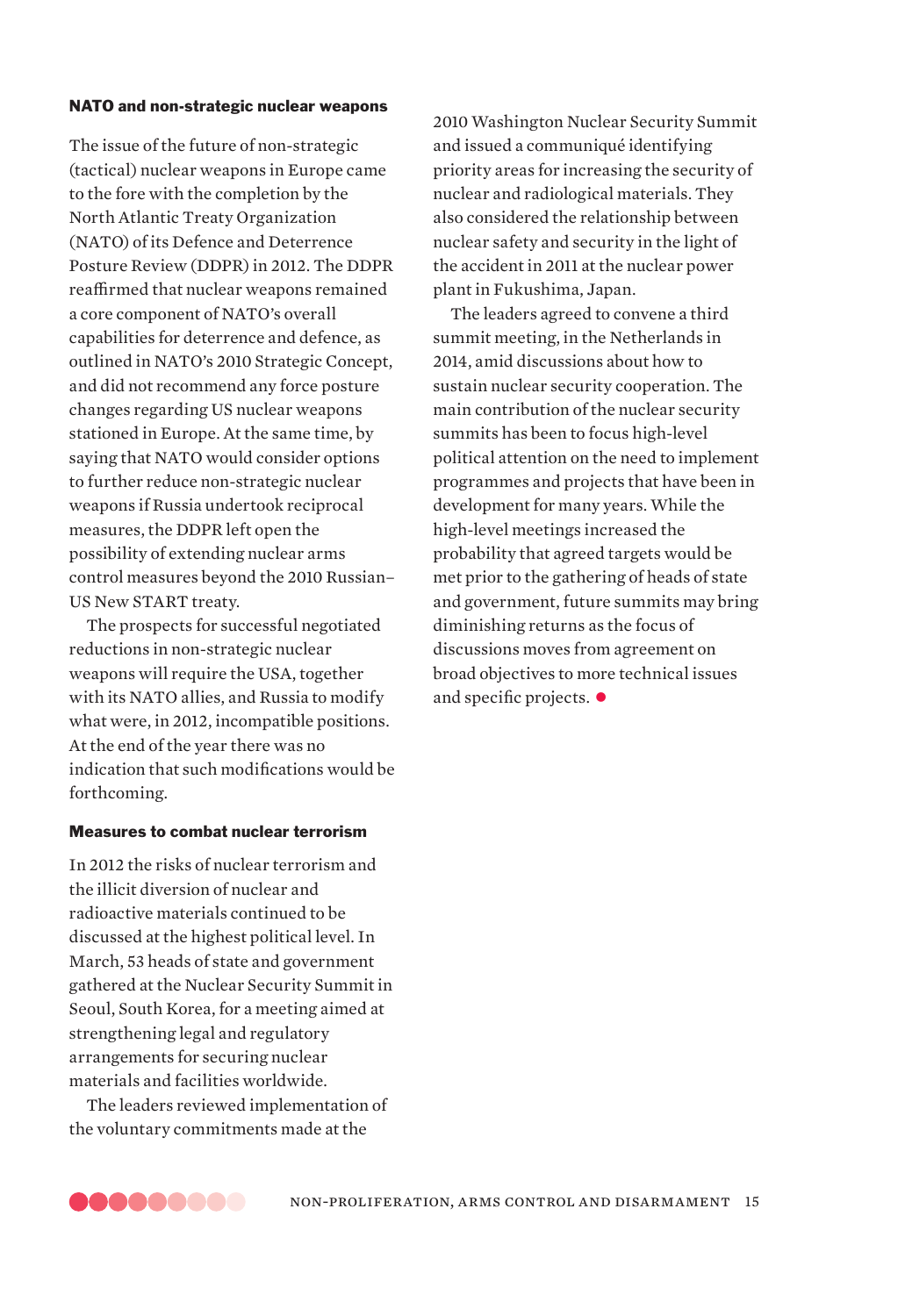#### NATO and non-strategic nuclear weapons

The issue of the future of non-strategic (tactical) nuclear weapons in Europe came to the fore with the completion by the North Atlantic Treaty Organization (NATO) of its Defence and Deterrence Posture Review (DDPR) in 2012. The DDPR reaffirmed that nuclear weapons remained a core component of NATO's overall capabilities for deterrence and defence, as outlined in NATO's 2010 Strategic Concept, and did not recommend any force posture changes regarding US nuclear weapons stationed in Europe. At the same time, by saying that NATO would consider options to further reduce non-strategic nuclear weapons if Russia undertook reciprocal measures, the DDPR left open the possibility of extending nuclear arms control measures beyond the 2010 Russian– US New START treaty.

The prospects for successful negotiated reductions in non-strategic nuclear weapons will require the USA, together with its NATO allies, and Russia to modify what were, in 2012, incompatible positions. At the end of the year there was no indication that such modifications would be forthcoming.

# Measures to combat nuclear terrorism

In 2012 the risks of nuclear terrorism and the illicit diversion of nuclear and radioactive materials continued to be discussed at the highest political level. In March, 53 heads of state and government gathered at the Nuclear Security Summit in Seoul, South Korea, for a meeting aimed at strengthening legal and regulatory arrangements for securing nuclear materials and facilities worldwide.

The leaders reviewed implementation of the voluntary commitments made at the

2010 Washington Nuclear Security Summit and issued a communiqué identifying priority areas for increasing the security of nuclear and radiological materials. They also considered the relationship between nuclear safety and security in the light of the accident in 2011 at the nuclear power plant in Fukushima, Japan.

The leaders agreed to convene a third summit meeting, in the Netherlands in 2014, amid discussions about how to sustain nuclear security cooperation. The main contribution of the nuclear security summits has been to focus high-level political attention on the need to implement programmes and projects that have been in development for many years. While the high-level meetings increased the probability that agreed targets would be met prior to the gathering of heads of state and government, future summits may bring diminishing returns as the focus of discussions moves from agreement on broad objectives to more technical issues and specific projects.  $\bullet$ 

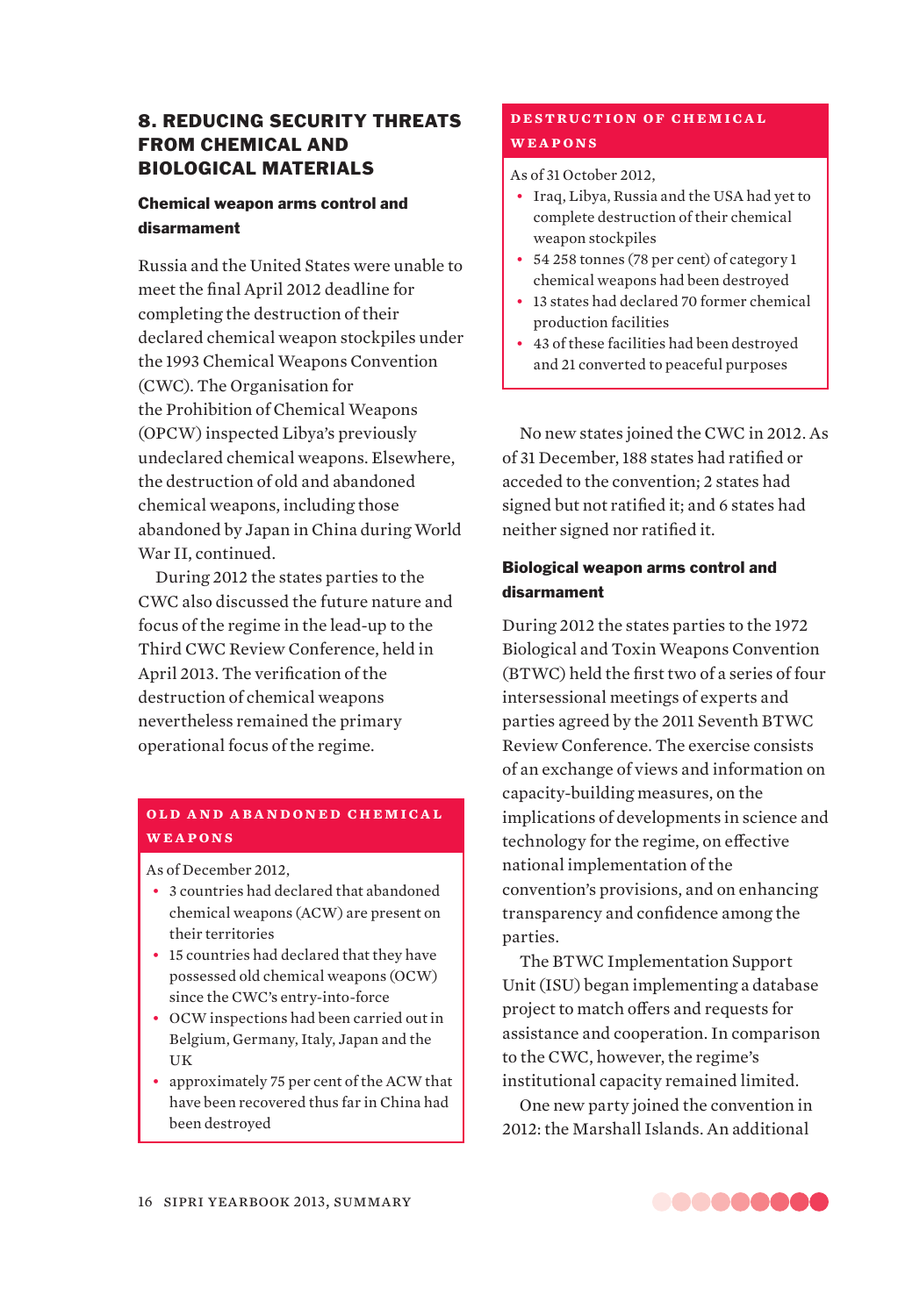# 8. REDUCING SECURITY THREATS FROM CHEMICAL AND BIOLOGICAL MATERIALS

# Chemical weapon arms control and disarmament

Russia and the United States were unable to meet the final April 2012 deadline for completing the destruction of their declared chemical weapon stockpiles under the 1993 Chemical Weapons Convention (CWC). The Organisation for the Prohibition of Chemical Weapons (OPCW) inspected Libya's previously undeclared chemical weapons. Elsewhere, the destruction of old and abandoned chemical weapons, including those abandoned by Japan in China during World War II, continued.

During 2012 the states parties to the CWC also discussed the future nature and focus of the regime in the lead-up to the Third CWC Review Conference, held in April 2013. The verification of the destruction of chemical weapons nevertheless remained the primary operational focus of the regime.

# **OLD AND ARANDONED CHEMICAL weapons**

As of December 2012,

- 3 countries had declared that abandoned chemical weapons (ACW) are present on their territories
- 15 countries had declared that they have possessed old chemical weapons (OCW) since the CWC's entry-into-force
- ƀɟ OCW inspections had been carried out in Belgium, Germany, Italy, Japan and the UK
- approximately 75 per cent of the ACW that have been recovered thus far in China had been destroyed

# **DESTRUCTION OF CHEMICAL weapons**

# As of 31 October 2012,

- Iraq, Libya, Russia and the USA had yet to complete destruction of their chemical weapon stockpiles
- 54 258 tonnes (78 per cent) of category 1 chemical weapons had been destroyed
- 13 states had declared 70 former chemical production facilities
- 43 of these facilities had been destroyed and 21 converted to peaceful purposes

No new states joined the CWC in 2012. As of 31 December, 188 states had ratified or acceded to the convention; 2 states had signed but not ratified it; and 6 states had neither signed nor ratified it.

# Biological weapon arms control and disarmament

During 2012 the states parties to the 1972 Biological and Toxin Weapons Convention (BTWC) held the first two of a series of four intersessional meetings of experts and parties agreed by the 2011 Seventh BTWC Review Conference. The exercise consists of an exchange of views and information on capacity-building measures, on the implications of developments in science and technology for the regime, on effective national implementation of the convention's provisions, and on enhancing transparency and confidence among the parties.

The BTWC Implementation Support Unit (ISU) began implementing a database project to match offers and requests for assistance and cooperation. In comparison to the CWC, however, the regime's institutional capacity remained limited.

One new party joined the convention in 2012: the Marshall Islands. An additional

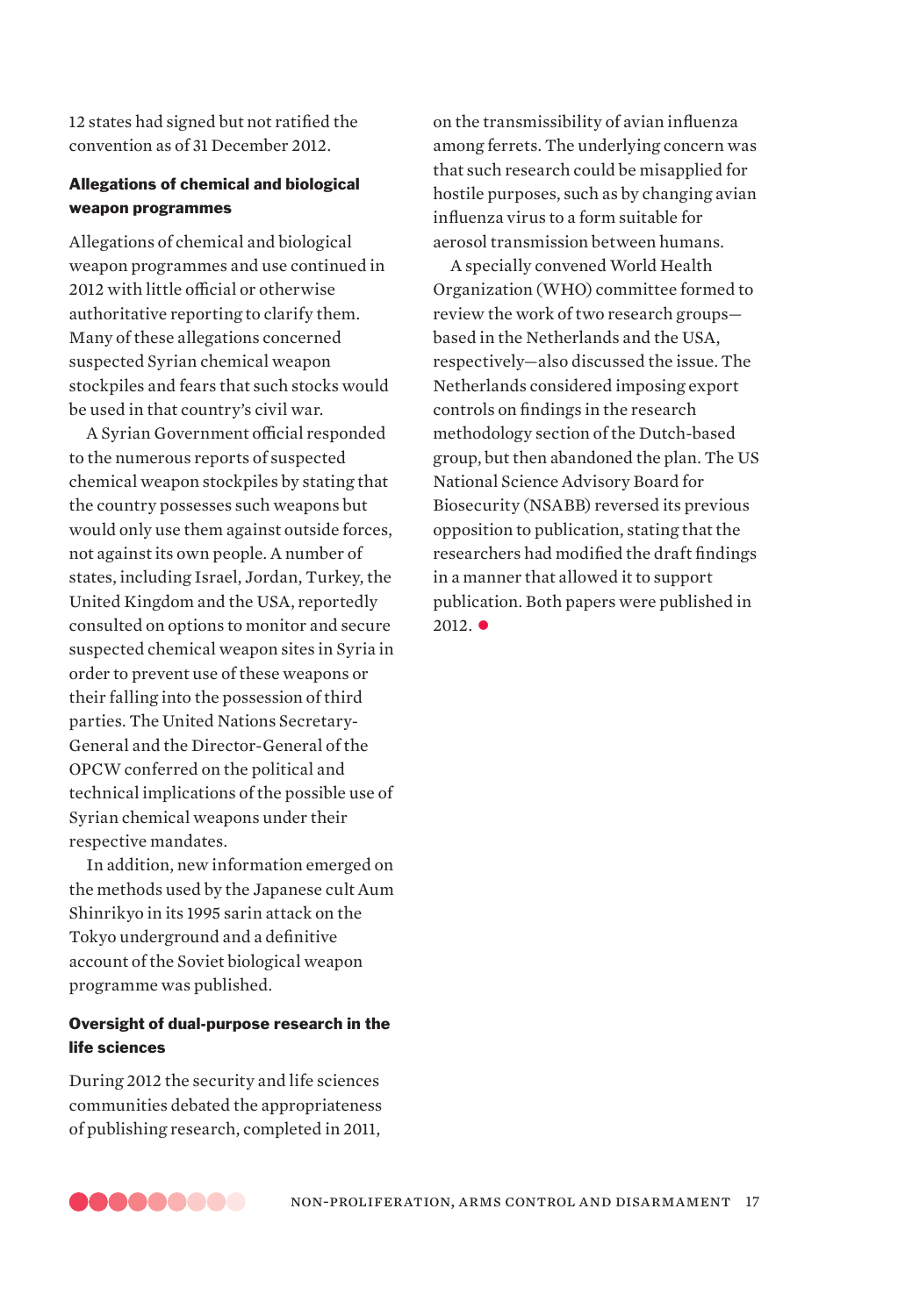12 states had signed but not ratified the convention as of 31 December 2012.

# Allegations of chemical and biological weapon programmes

Allegations of chemical and biological weapon programmes and use continued in 2012 with little official or otherwise authoritative reporting to clarify them. Many of these allegations concerned suspected Syrian chemical weapon stockpiles and fears that such stocks would be used in that country's civil war.

A Syrian Government official responded to the numerous reports of suspected chemical weapon stockpiles by stating that the country possesses such weapons but would only use them against outside forces, not against its own people. A number of states, including Israel, Jordan, Turkey, the United Kingdom and the USA, reportedly consulted on options to monitor and secure suspected chemical weapon sites in Syria in order to prevent use of these weapons or their falling into the possession of third parties. The United Nations Secretary-General and the Director-General of the OPCW conferred on the political and technical implications of the possible use of Syrian chemical weapons under their respective mandates.

In addition, new information emerged on the methods used by the Japanese cult Aum Shinrikyo in its 1995 sarin attack on the Tokyo underground and a definitive account of the Soviet biological weapon programme was published.

# Oversight of dual-purpose research in the life sciences

During 2012 the security and life sciences communities debated the appropriateness of publishing research, completed in 2011,

on the transmissibility of avian influenza among ferrets. The underlying concern was that such research could be misapplied for hostile purposes, such as by changing avian influenza virus to a form suitable for aerosol transmission between humans.

A specially convened World Health Organization (WHO) committee formed to review the work of two research groups based in the Netherlands and the USA, respectively—also discussed the issue. The Netherlands considered imposing export controls on findings in the research methodology section of the Dutch-based group, but then abandoned the plan. The US National Science Advisory Board for Biosecurity (NSABB) reversed its previous opposition to publication, stating that the researchers had modified the draft findings in a manner that allowed it to support publication. Both papers were published in  $2012.$   $\bullet$ 

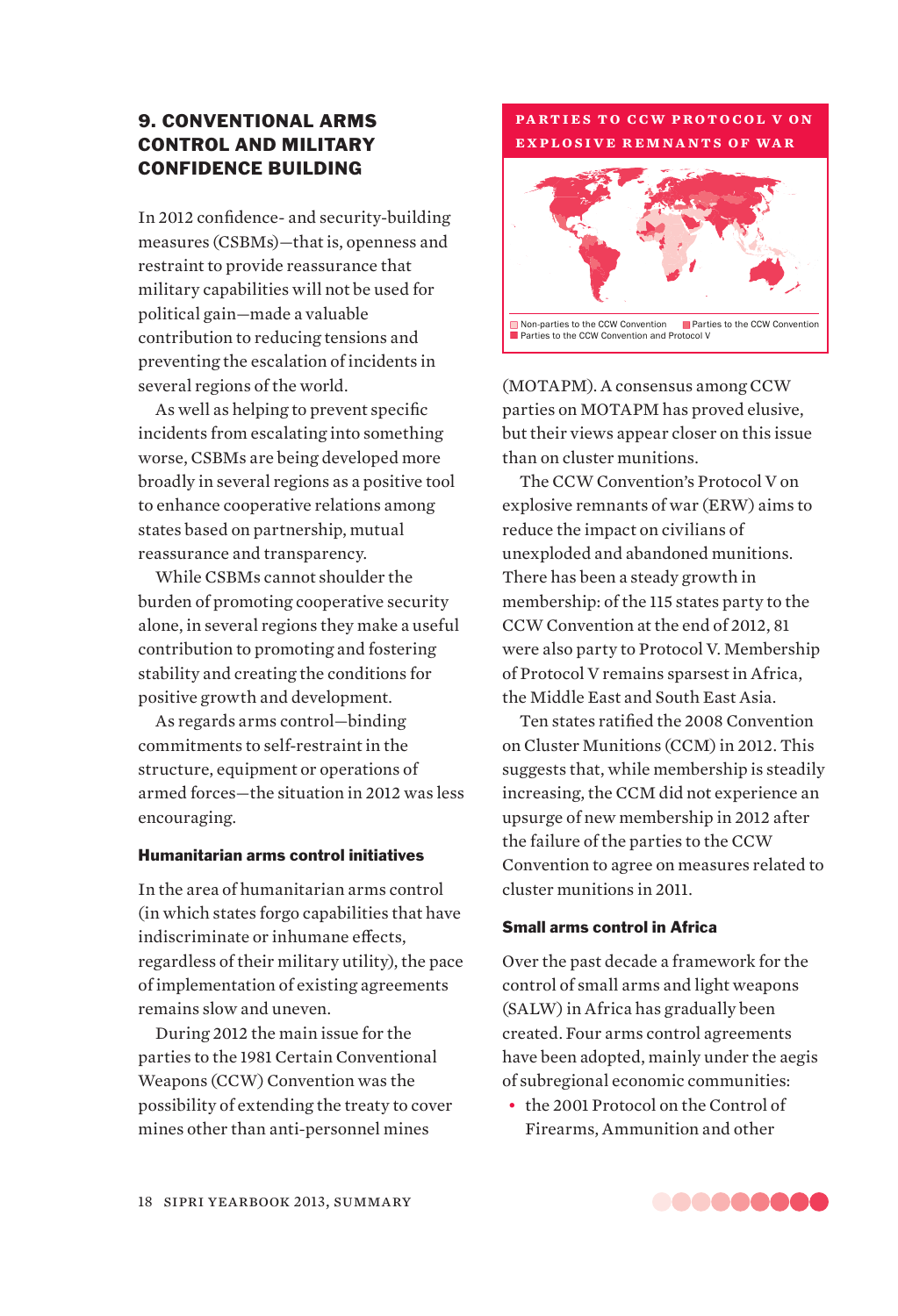# 9. CONVENTIONAL ARMS CONTROL AND MILITARY CONFIDENCE BUILDING

In 2012 confidence- and security-building measures (CSBMs)—that is, openness and restraint to provide reassurance that military capabilities will not be used for political gain—made a valuable contribution to reducing tensions and preventing the escalation of incidents in several regions of the world.

As well as helping to prevent specific incidents from escalating into something worse, CSBMs are being developed more broadly in several regions as a positive tool to enhance cooperative relations among states based on partnership, mutual reassurance and transparency.

While CSBMs cannot shoulder the burden of promoting cooperative security alone, in several regions they make a useful contribution to promoting and fostering stability and creating the conditions for positive growth and development.

As regards arms control—binding commitments to self-restraint in the structure, equipment or operations of armed forces—the situation in 2012 was less encouraging.

#### Humanitarian arms control initiatives

In the area of humanitarian arms control (in which states forgo capabilities that have indiscriminate or inhumane effects, regardless of their military utility), the pace of implementation of existing agreements remains slow and uneven.

During 2012 the main issue for the parties to the 1981 Certain Conventional Weapons (CCW) Convention was the possibility of extending the treaty to cover mines other than anti-personnel mines



**PARTIES TO CCW PROTOCOL V ON explosive remnants of war**

(MOTAPM). A consensus among CCW parties on MOTAPM has proved elusive, but their views appear closer on this issue than on cluster munitions.

The CCW Convention's Protocol V on explosive remnants of war (ERW) aims to reduce the impact on civilians of unexploded and abandoned munitions. There has been a steady growth in membership: of the 115 states party to the CCW Convention at the end of 2012, 81 were also party to Protocol V. Membership of Protocol V remains sparsest in Africa, the Middle East and South East Asia.

Ten states ratified the 2008 Convention on Cluster Munitions (CCM) in 2012. This suggests that, while membership is steadily increasing, the CCM did not experience an upsurge of new membership in 2012 after the failure of the parties to the CCW Convention to agree on measures related to cluster munitions in 2011.

# Small arms control in Africa

Over the past decade a framework for the control of small arms and light weapons (SALW) in Africa has gradually been created. Four arms control agreements have been adopted, mainly under the aegis of subregional economic communities:

• the 2001 Protocol on the Control of Firearms, Ammunition and other

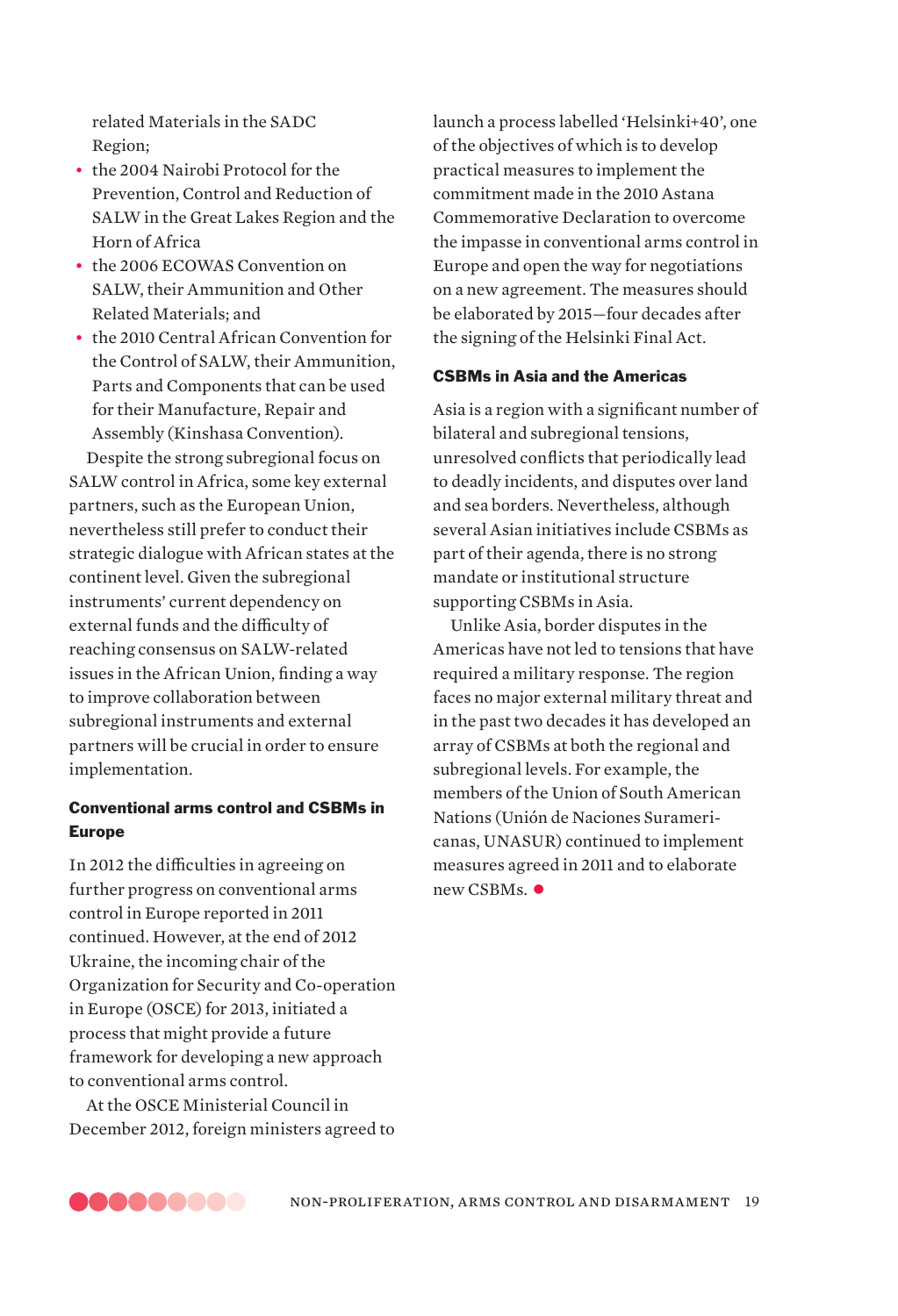related Materials in the SADC Region;

- the 2004 Nairobi Protocol for the Prevention, Control and Reduction of SALW in the Great Lakes Region and the Horn of Africa
- the 2006 ECOWAS Convention on SALW, their Ammunition and Other Related Materials; and
- the 2010 Central African Convention for the Control of SALW, their Ammunition, Parts and Components that can be used for their Manufacture, Repair and Assembly (Kinshasa Convention).

Despite the strong subregional focus on SALW control in Africa, some key external partners, such as the European Union, nevertheless still prefer to conduct their strategic dialogue with African states at the continent level. Given the subregional instruments' current dependency on external funds and the difficulty of reaching consensus on SALW-related issues in the African Union, finding a way to improve collaboration between subregional instruments and external partners will be crucial in order to ensure implementation.

# Conventional arms control and CSBMs in Europe

In 2012 the difficulties in agreeing on further progress on conventional arms control in Europe reported in 2011 continued. However, at the end of 2012 Ukraine, the incoming chair of the Organization for Security and Co-operation in Europe (OSCE) for 2013, initiated a process that might provide a future framework for developing a new approach to conventional arms control.

At the OSCE Ministerial Council in December 2012, foreign ministers agreed to launch a process labelled 'Helsinki+40', one of the objectives of which is to develop practical measures to implement the commitment made in the 2010 Astana Commemorative Declaration to overcome the impasse in conventional arms control in Europe and open the way for negotiations on a new agreement. The measures should be elaborated by 2015—four decades after the signing of the Helsinki Final Act.

# CSBMs in Asia and the Americas

Asia is a region with a significant number of bilateral and subregional tensions, unresolved conflicts that periodically lead to deadly incidents, and disputes over land and sea borders. Nevertheless, although several Asian initiatives include CSBMs as part of their agenda, there is no strong mandate or institutional structure supporting CSBMs in Asia.

Unlike Asia, border disputes in the Americas have not led to tensions that have required a military response. The region faces no major external military threat and in the past two decades it has developed an array of CSBMs at both the regional and subregional levels. For example, the members of the Union of South American Nations (Unión de Naciones Suramericanas, UNASUR) continued to implement measures agreed in 2011 and to elaborate  $new$  CSBMs  $\bullet$ 

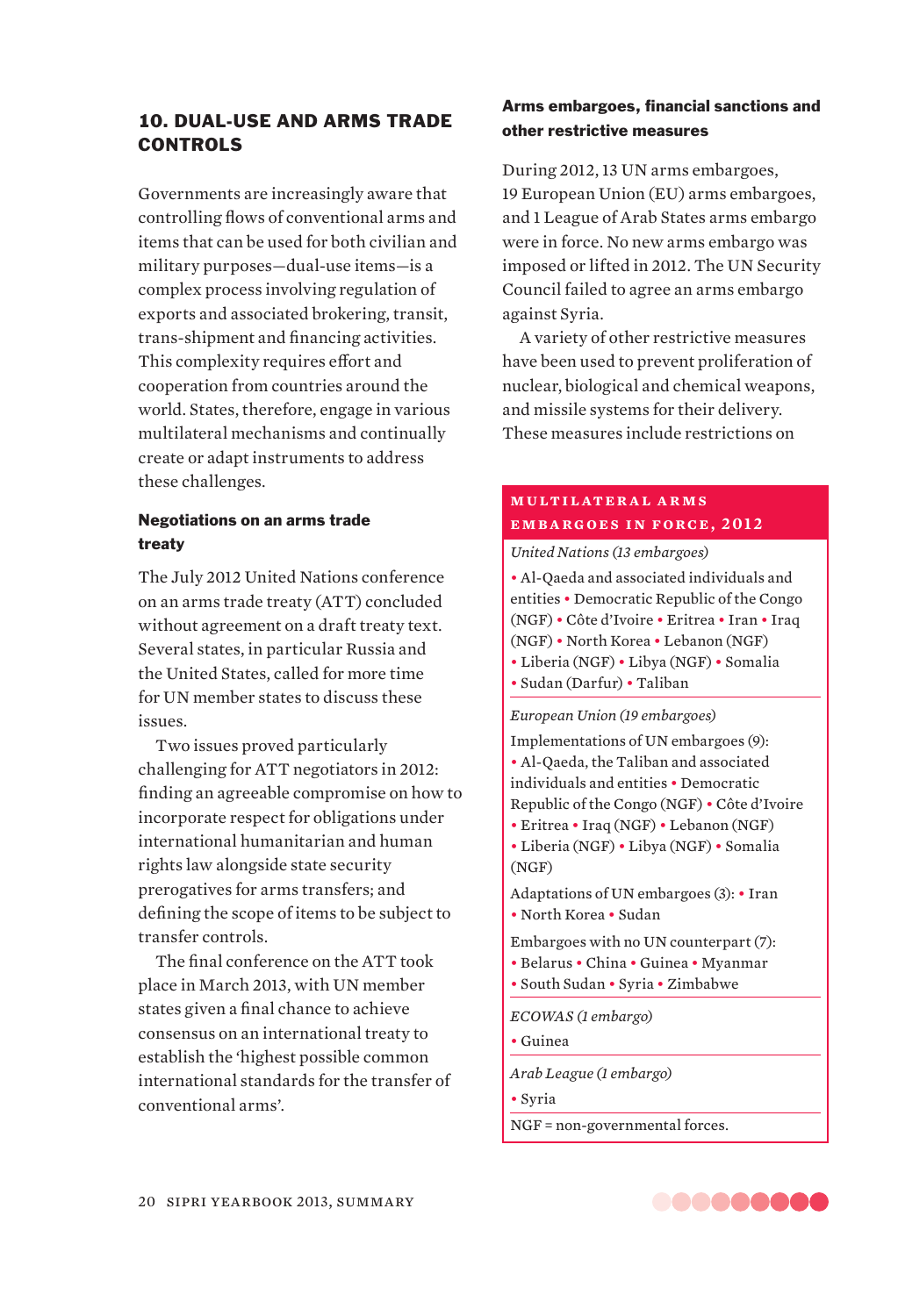# 10. DUAL-USE AND ARMS TRADE CONTROLS

Governments are increasingly aware that controlling flows of conventional arms and items that can be used for both civilian and military purposes—dual-use items—is a complex process involving regulation of exports and associated brokering, transit, trans-shipment and financing activities. This complexity requires effort and cooperation from countries around the world. States, therefore, engage in various multilateral mechanisms and continually create or adapt instruments to address these challenges.

# Negotiations on an arms trade treaty

The July 2012 United Nations conference on an arms trade treaty (ATT) concluded without agreement on a draft treaty text. Several states, in particular Russia and the United States, called for more time for UN member states to discuss these issues.

Two issues proved particularly challenging for ATT negotiators in 2012: finding an agreeable compromise on how to incorporate respect for obligations under international humanitarian and human rights law alongside state security prerogatives for arms transfers; and defining the scope of items to be subject to transfer controls.

The final conference on the ATT took place in March 2013, with UN member states given a final chance to achieve consensus on an international treaty to establish the 'highest possible common international standards for the transfer of conventional arms'.

# Arms embargoes, financial sanctions and other restrictive measures

During 2012, 13 UN arms embargoes, 19 European Union (EU) arms embargoes, and 1 League of Arab States arms embargo were in force. No new arms embargo was imposed or lifted in 2012. The UN Security Council failed to agree an arms embargo against Syria.

A variety of other restrictive measures have been used to prevent proliferation of nuclear, biological and chemical weapons, and missile systems for their delivery. These measures include restrictions on

# **m u lt i l at e r a l a r m s embargoes in force, 2012**

*United Nations (13 embargoes)* ƀ Al-Qaeda and associated individuals and entities • Democratic Republic of the Congo (NGF) ƀ Côte d'Ivoire ƀ Eritrea ƀ Iran ƀ Iraq (NGF) ƀ North Korea ƀ Lebanon (NGF) • Liberia (NGF) • Libya (NGF) • Somalia ƀ Sudan (Darfur) ƀ Taliban

#### *European Union (19 embargoes)*

Implementations of UN embargoes (9): ƀ Al-Qaeda, the Taliban and associated individuals and entities . Democratic Republic of the Congo (NGF) • Côte d'Ivoire • Eritrea • Iraq (NGF) • Lebanon (NGF) • Liberia (NGF) • Libya (NGF) • Somalia (NGF) Adaptations of UN embargoes (3): • Iran • North Korea • Sudan Embargoes with no UN counterpart (7): ƀ Belarus ƀ China ƀ Guinea ƀ Myanmar ƀ South Sudan ƀ Syria ƀ Zimbabwe *ECOWAS (1 embargo)* ƀ Guinea

*Arab League (1 embargo)*

ƀ Syria

NGF = non-governmental forces.

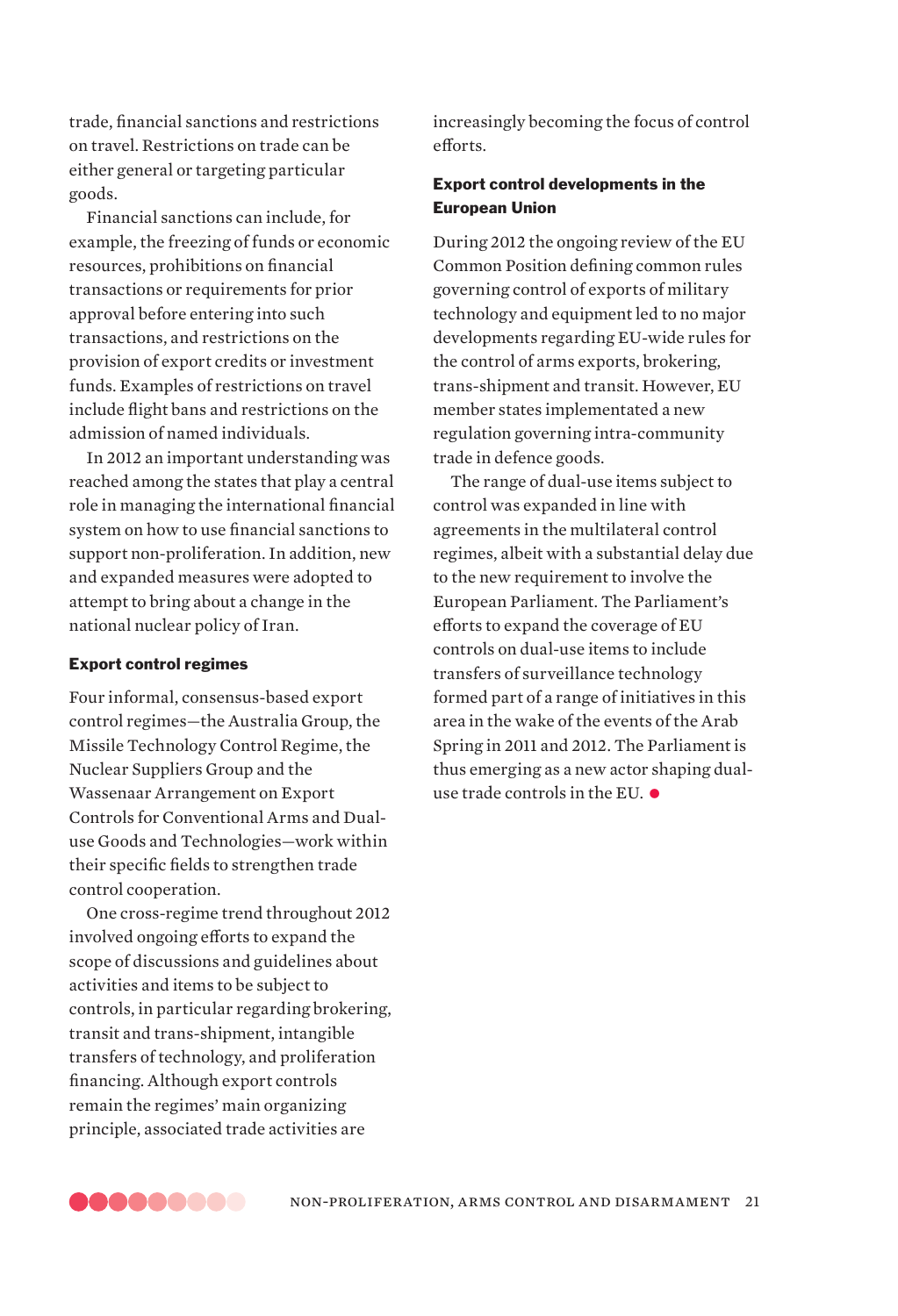trade, financial sanctions and restrictions on travel. Restrictions on trade can be either general or targeting particular goods.

Financial sanctions can include, for example, the freezing of funds or economic resources, prohibitions on financial transactions or requirements for prior approval before entering into such transactions, and restrictions on the provision of export credits or investment funds. Examples of restrictions on travel include flight bans and restrictions on the admission of named individuals.

In 2012 an important understanding was reached among the states that play a central role in managing the international financial system on how to use financial sanctions to support non-proliferation. In addition, new and expanded measures were adopted to attempt to bring about a change in the national nuclear policy of Iran.

# Export control regimes

Four informal, consensus-based export control regimes—the Australia Group, the Missile Technology Control Regime, the Nuclear Suppliers Group and the Wassenaar Arrangement on Export Controls for Conventional Arms and Dualuse Goods and Technologies—work within their specific fields to strengthen trade control cooperation.

One cross-regime trend throughout 2012 involved ongoing efforts to expand the scope of discussions and guidelines about activities and items to be subject to controls, in particular regarding brokering, transit and trans-shipment, intangible transfers of technology, and proliferation financing. Although export controls remain the regimes' main organizing principle, associated trade activities are

increasingly becoming the focus of control efforts.

# Export control developments in the European Union

During 2012 the ongoing review of the EU Common Position defining common rules governing control of exports of military technology and equipment led to no major developments regarding EU-wide rules for the control of arms exports, brokering, trans-shipment and transit. However, EU member states implementated a new regulation governing intra-community trade in defence goods.

The range of dual-use items subject to control was expanded in line with agreements in the multilateral control regimes, albeit with a substantial delay due to the new requirement to involve the European Parliament. The Parliament's efforts to expand the coverage of EU controls on dual-use items to include transfers of surveillance technology formed part of a range of initiatives in this area in the wake of the events of the Arab Spring in 2011 and 2012. The Parliament is thus emerging as a new actor shaping dualuse trade controls in the EU.  $\bullet$ 

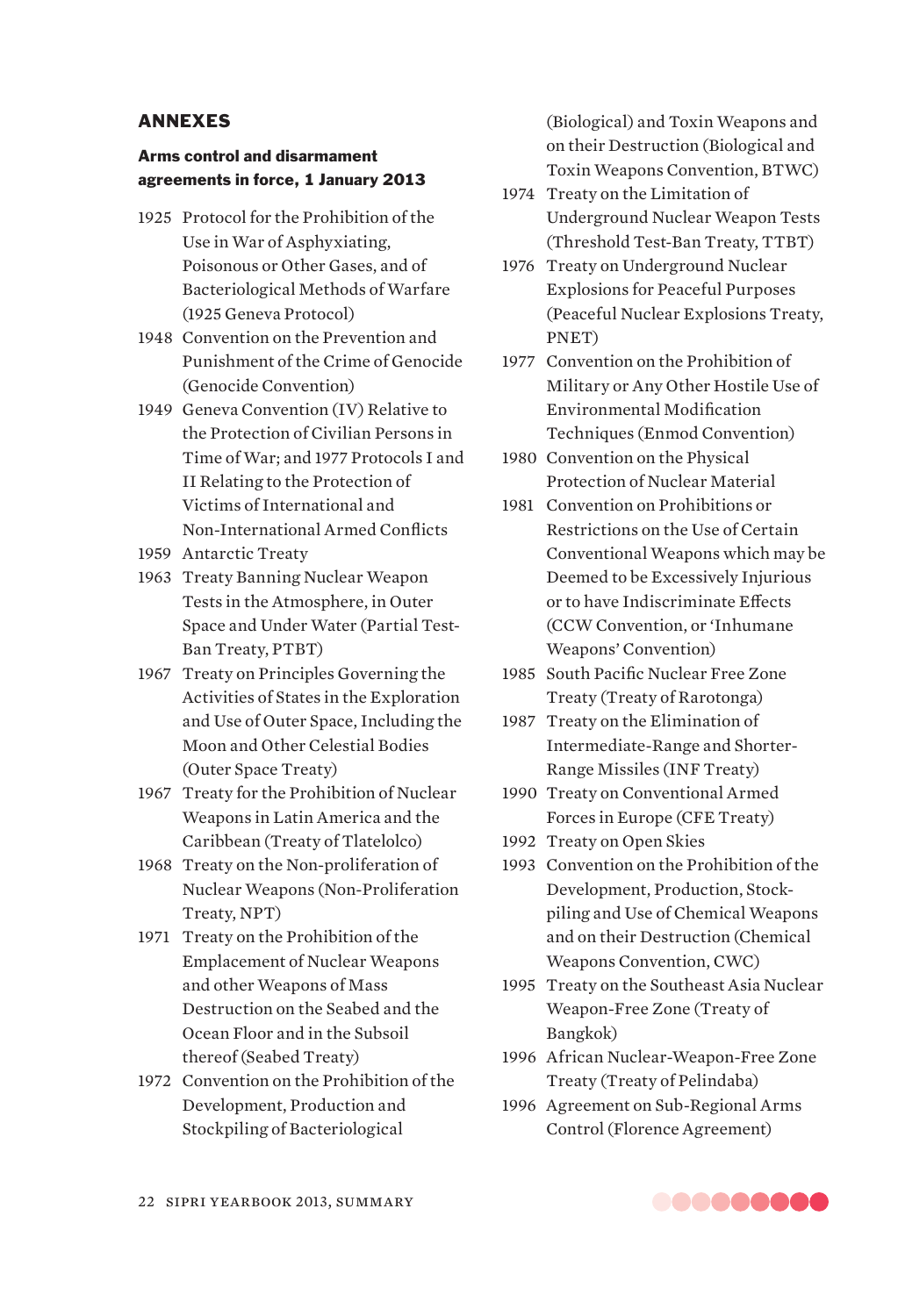# ANNEXES

# Arms control and disarmament agreements in force, 1 January 2013

- 1925 Protocol for the Prohibition of the Use in War of Asphyxiating, Poisonous or Other Gases, and of Bacteriological Methods of Warfare (1925 Geneva Protocol)
- 1948 Convention on the Prevention and Punishment of the Crime of Genocide (Genocide Convention)
- 1949 Geneva Convention (IV) Relative to the Protection of Civilian Persons in Time of War; and 1977 Protocols I and II Relating to the Protection of Victims of International and Non-International Armed Conflicts
- 1959 Antarctic Treaty
- 1963 Treaty Banning Nuclear Weapon Tests in the Atmosphere, in Outer Space and Under Water (Partial Test-Ban Treaty, PTBT)
- 1967 Treaty on Principles Governing the Activities of States in the Exploration and Use of Outer Space, Including the Moon and Other Celestial Bodies (Outer Space Treaty)
- 1967 Treaty for the Prohibition of Nuclear Weapons in Latin America and the Caribbean (Treaty of Tlatelolco)
- 1968 Treaty on the Non-proliferation of Nuclear Weapons (Non-Proliferation Treaty, NPT)
- 1971 Treaty on the Prohibition of the Emplacement of Nuclear Weapons and other Weapons of Mass Destruction on the Seabed and the Ocean Floor and in the Subsoil thereof (Seabed Treaty)
- 1972 Convention on the Prohibition of the Development, Production and Stockpiling of Bacteriological

(Biological) and Toxin Weapons and on their Destruction (Biological and Toxin Weapons Convention, BTWC)

- 1974 Treaty on the Limitation of Underground Nuclear Weapon Tests (Threshold Test-Ban Treaty, TTBT)
- 1976 Treaty on Underground Nuclear Explosions for Peaceful Purposes (Peaceful Nuclear Explosions Treaty, PNET)
- 1977 Convention on the Prohibition of Military or Any Other Hostile Use of Environmental Modification Techniques (Enmod Convention)
- 1980 Convention on the Physical Protection of Nuclear Material
- 1981 Convention on Prohibitions or Restrictions on the Use of Certain Conventional Weapons which may be Deemed to be Excessively Injurious or to have Indiscriminate Effects (CCW Convention, or 'Inhumane Weapons' Convention)
- 1985 South Pacific Nuclear Free Zone Treaty (Treaty of Rarotonga)
- 1987 Treaty on the Elimination of Intermediate-Range and Shorter-Range Missiles (INF Treaty)
- 1990 Treaty on Conventional Armed Forces in Europe (CFE Treaty)
- 1992 Treaty on Open Skies
- 1993 Convention on the Prohibition of the Development, Production, Stockpiling and Use of Chemical Weapons and on their Destruction (Chemical Weapons Convention, CWC)
- 1995 Treaty on the Southeast Asia Nuclear Weapon-Free Zone (Treaty of Bangkok)
- 1996 African Nuclear-Weapon-Free Zone Treaty (Treaty of Pelindaba)
- 1996 Agreement on Sub-Regional Arms Control (Florence Agreement)

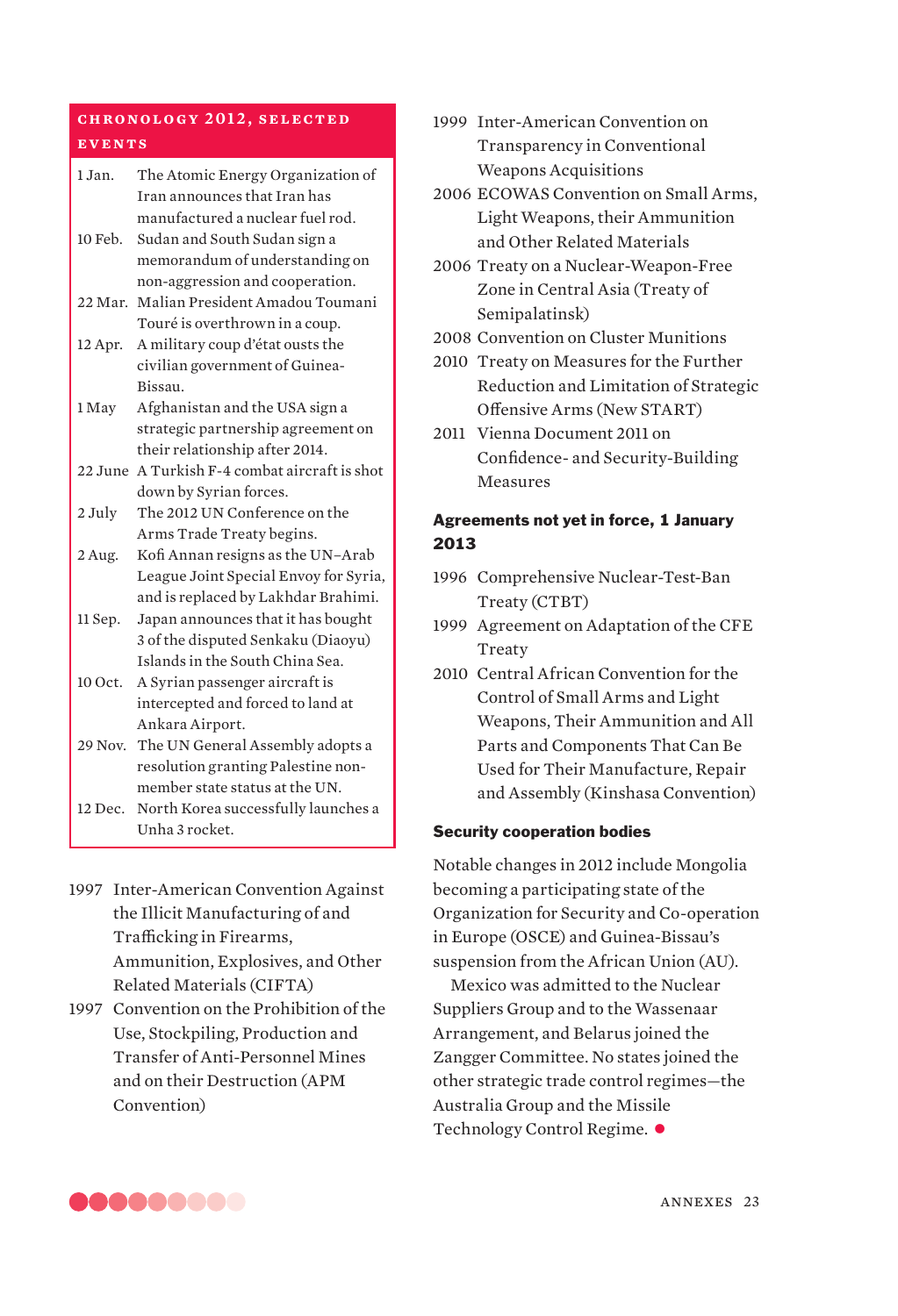# **ch ronol o gy 2 01 2 , se l e c t e d events**

- 1 Jan. The Atomic Energy Organization of Iran announces that Iran has manufactured a nuclear fuel rod.
- 10 Feb. Sudan and South Sudan sign a memorandum of understanding on non-aggression and cooperation.
- 22 Mar. Malian President Amadou Toumani Touré is overthrown in a coup.
- 12 Apr. A military coup d'état ousts the civilian government of Guinea-Bissau.
- 1 May Afghanistan and the USA sign a strategic partnership agreement on their relationship after 2014.
- 22 June A Turkish F-4 combat aircraft is shot down by Syrian forces.
- 2 July The 2012 UN Conference on the Arms Trade Treaty begins.
- 2 Aug. Kofi Annan resigns as the UN–Arab League Joint Special Envoy for Syria, and is replaced by Lakhdar Brahimi.
- 11 Sep. Japan announces that it has bought 3 of the disputed Senkaku (Diaoyu) Islands in the South China Sea.
- 10 Oct. A Syrian passenger aircraft is intercepted and forced to land at Ankara Airport.
- 29 Nov. The UN General Assembly adopts a resolution granting Palestine nonmember state status at the UN.
- 12 Dec. North Korea successfully launches a Unha 3 rocket.
- 1997 Inter-American Convention Against the Illicit Manufacturing of and Trafficking in Firearms, Ammunition, Explosives, and Other Related Materials (CIFTA)
- 1997 Convention on the Prohibition of the Use, Stockpiling, Production and Transfer of Anti-Personnel Mines and on their Destruction (APM Convention)
- 1999 Inter-American Convention on Transparency in Conventional Weapons Acquisitions
- 2006 ECOWAS Convention on Small Arms, Light Weapons, their Ammunition and Other Related Materials
- 2006 Treaty on a Nuclear-Weapon-Free Zone in Central Asia (Treaty of Semipalatinsk)
- 2008 Convention on Cluster Munitions
- 2010 Treaty on Measures for the Further Reduction and Limitation of Strategic Offensive Arms (New START)
- 2011 Vienna Document 2011 on Confidence- and Security-Building Measures

# Agreements not yet in force, 1 January 2013

- 1996 Comprehensive Nuclear-Test-Ban Treaty (CTBT)
- 1999 Agreement on Adaptation of the CFE **Treaty**
- 2010 Central African Convention for the Control of Small Arms and Light Weapons, Their Ammunition and All Parts and Components That Can Be Used for Their Manufacture, Repair and Assembly (Kinshasa Convention)

# Security cooperation bodies

Notable changes in 2012 include Mongolia becoming a participating state of the Organization for Security and Co-operation in Europe (OSCE) and Guinea-Bissau's suspension from the African Union (AU).

Mexico was admitted to the Nuclear Suppliers Group and to the Wassenaar Arrangement, and Belarus joined the Zangger Committee. No states joined the other strategic trade control regimes—the Australia Group and the Missile Technology Control Regime.  $\bullet$ 

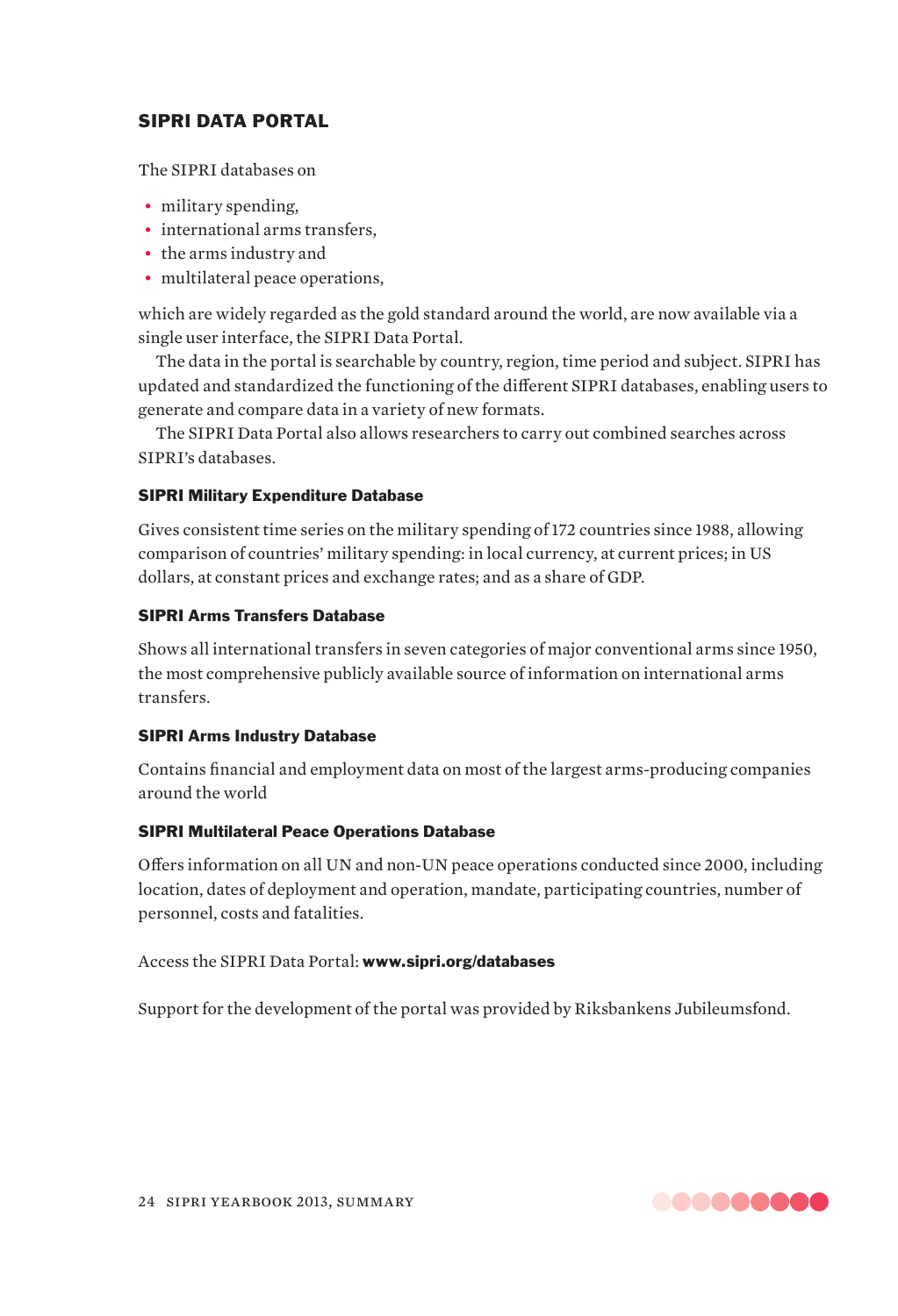# SIPRI DATA PORTAL

The SIPRI databases on

- military spending.
- international arms transfers,
- the arms industry and
- multilateral peace operations,

which are widely regarded as the gold standard around the world, are now available via a single user interface, the SIPRI Data Portal.

The data in the portal is searchable by country, region, time period and subject. SIPRI has updated and standardized the functioning of the different SIPRI databases, enabling users to generate and compare data in a variety of new formats.

The SIPRI Data Portal also allows researchers to carry out combined searches across SIPRI's databases.

# SIPRI Military Expenditure Database

Gives consistent time series on the military spending of 172 countries since 1988, allowing comparison of countries' military spending: in local currency, at current prices; in US dollars, at constant prices and exchange rates; and as a share of GDP.

# SIPRI Arms Transfers Database

Shows all international transfers in seven categories of major conventional arms since 1950, the most comprehensive publicly available source of information on international arms transfers.

# SIPRI Arms Industry Database

Contains financial and employment data on most of the largest arms-producing companies around the world

# SIPRI Multilateral Peace Operations Database

Offers information on all UN and non-UN peace operations conducted since 2000, including location, dates of deployment and operation, mandate, participating countries, number of personnel, costs and fatalities.

Access the SIPRI Data Portal: www.sipri.org/databases

Support for the development of the portal was provided by Riksbankens Jubileumsfond.

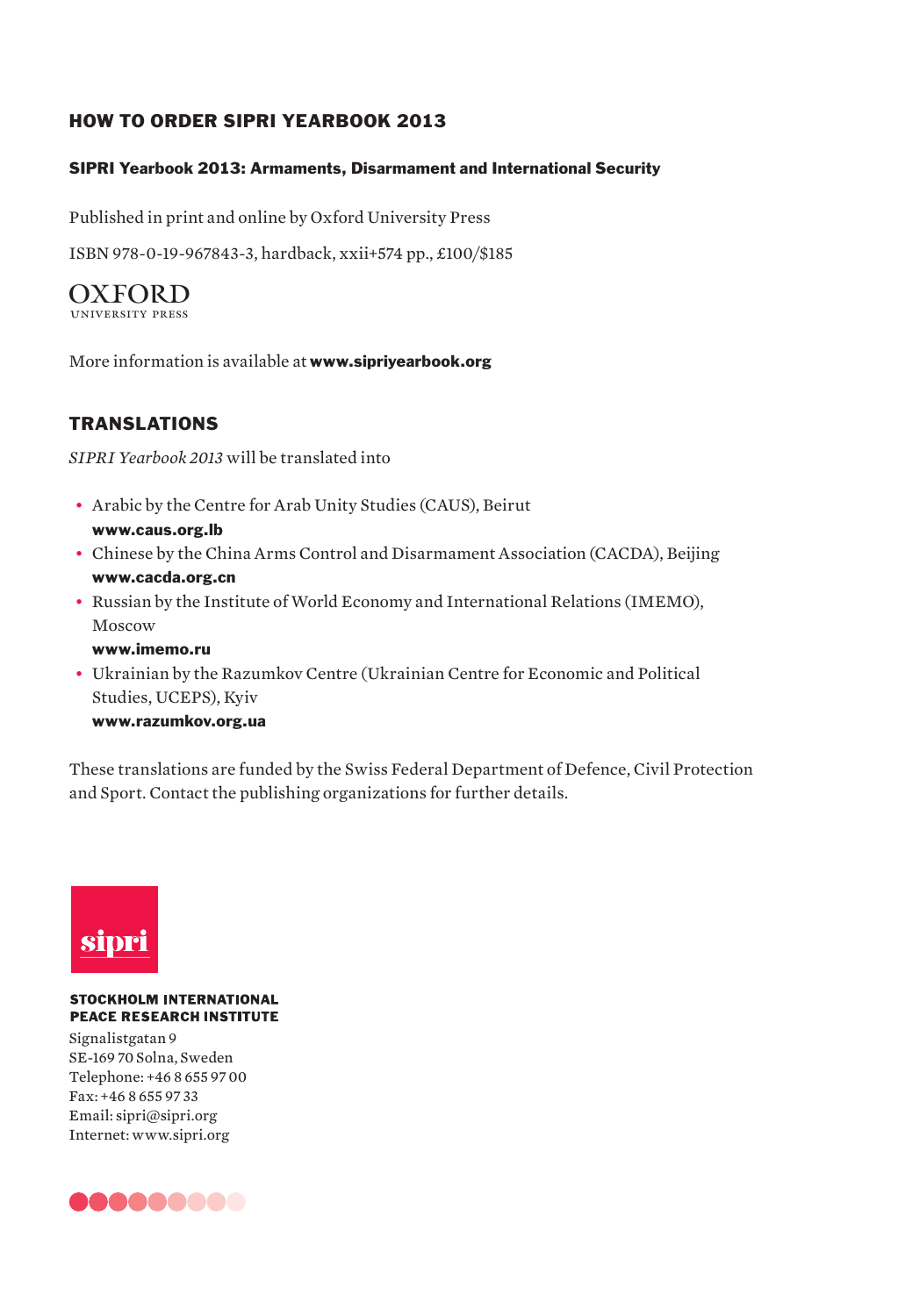# HOW TO ORDER SIPRI YEARBOOK 2013

# SIPRI Yearbook 2013: Armaments, Disarmament and International Security

Published in print and online by Oxford University Press

ISBN 978-0-19-967843-3, hardback, xxii+574 pp., £100/\$185

**OXFORD** 

More information is available at **www.siprivearbook.org** 

# TRANSLATIONS

*SIPRI Yearbook 2013* will be translated into

- ƀɟ Arabic by the Centre for Arab Unity Studies (CAUS), Beirut www.caus.org.lb
- Chinese by the China Arms Control and Disarmament Association (CACDA), Beijing www.cacda.org.cn
- Russian by the Institute of World Economy and International Relations (IMEMO), Moscow

www.imemo.ru

ƀɟ Ukrainian by the Razumkov Centre (Ukrainian Centre for Economic and Political Studies, UCEPS), Kyiv

www.razumkov.org.ua

These translations are funded by the Swiss Federal Department of Defence, Civil Protection and Sport. Contact the publishing organizations for further details.



#### **STOCKHOLM INTERNATIONAL PEACE RESEARCH INSTITUTE**

Signalistgatan 9 SE-169 70 Solna, Sweden Telephone: +46 8 655 97 00 Fax: +46 8 655 97 33 Email: sipri@sipri.org Internet: www.sipri.org